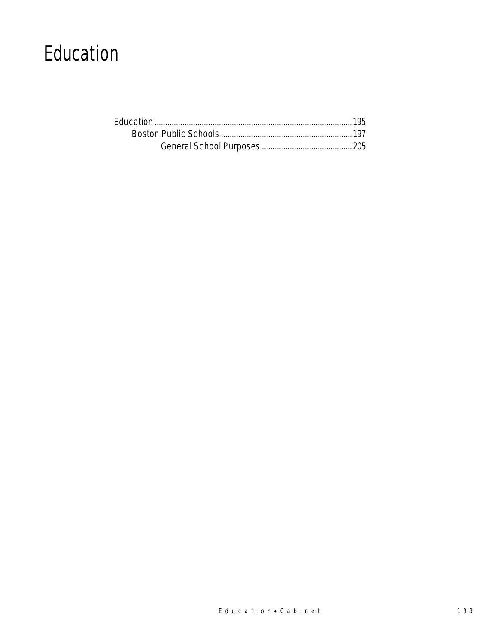### Education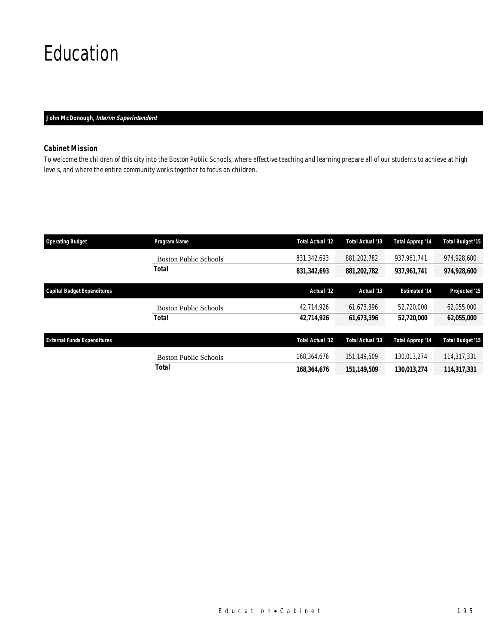### Education

### *John McDonough, Interim Superintendent*

### *Cabinet Mission*

To welcome the children of this city into the Boston Public Schools, where effective teaching and learning prepare all of our students to achieve at high levels, and where the entire community works together to focus on children.

| <b>Operating Budget</b>            | Program Name                 | Total Actual '12        | Total Actual '13 | Total Approp '14     | <b>Total Budget '15</b> |
|------------------------------------|------------------------------|-------------------------|------------------|----------------------|-------------------------|
|                                    | <b>Boston Public Schools</b> | 831,342,693             | 881,202,782      | 937.961.741          | 974,928,600             |
|                                    | Total                        | 831,342,693             | 881,202,782      | 937,961,741          | 974,928,600             |
| <b>Capital Budget Expenditures</b> |                              | Actual '12              | Actual '13       | <b>Estimated '14</b> | Projected '15           |
|                                    | <b>Boston Public Schools</b> | 42,714,926              | 61.673.396       | 52,720,000           | 62,055,000              |
|                                    | Total                        | 42,714,926              | 61,673,396       | 52,720,000           | 62,055,000              |
| <b>External Funds Expenditures</b> |                              | <b>Total Actual '12</b> | Total Actual '13 | Total Approp '14     | <b>Total Budget '15</b> |
|                                    | <b>Boston Public Schools</b> | 168,364,676             | 151.149.509      | 130.013.274          | 114,317,331             |
|                                    | <b>Total</b>                 | 168,364,676             | 151.149.509      | 130.013.274          | 114,317,331             |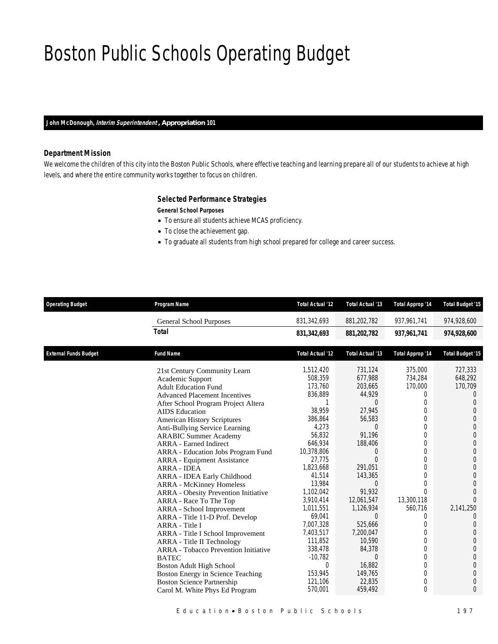### Boston Public Schools Operating Budget

*John McDonough, Interim Superintendent , Appropriation 101* 

### *Department Mission*

We welcome the children of this city into the Boston Public Schools, where effective teaching and learning prepare all of our students to achieve at high levels, and where the entire community works together to focus on children.

### *Selected Performance Strategies*

#### *General School Purposes*

- To ensure all students achieve MCAS proficiency.
- To close the achievement gap.
- To graduate all students from high school prepared for college and career success.

| <b>Operating Budget</b>      | Program Name                                                                                                                                                                                                                                                                                                                                                                                                                                                                                                                                                                                                                                                                                                                                                                                                                                                                                                                              | Total Actual '12                                                                                                                                                                                                                                                                                           | Total Actual '13                                                                                                                                                                                                                                                                                               | <b>Total Approp '14</b>                                                                                                                                                                                                                         | <b>Total Budget '15</b>                                                                                                                                                                                                                                                                                                                                                                       |
|------------------------------|-------------------------------------------------------------------------------------------------------------------------------------------------------------------------------------------------------------------------------------------------------------------------------------------------------------------------------------------------------------------------------------------------------------------------------------------------------------------------------------------------------------------------------------------------------------------------------------------------------------------------------------------------------------------------------------------------------------------------------------------------------------------------------------------------------------------------------------------------------------------------------------------------------------------------------------------|------------------------------------------------------------------------------------------------------------------------------------------------------------------------------------------------------------------------------------------------------------------------------------------------------------|----------------------------------------------------------------------------------------------------------------------------------------------------------------------------------------------------------------------------------------------------------------------------------------------------------------|-------------------------------------------------------------------------------------------------------------------------------------------------------------------------------------------------------------------------------------------------|-----------------------------------------------------------------------------------------------------------------------------------------------------------------------------------------------------------------------------------------------------------------------------------------------------------------------------------------------------------------------------------------------|
|                              | <b>General School Purposes</b>                                                                                                                                                                                                                                                                                                                                                                                                                                                                                                                                                                                                                                                                                                                                                                                                                                                                                                            | 831,342,693                                                                                                                                                                                                                                                                                                | 881,202,782                                                                                                                                                                                                                                                                                                    | 937, 961, 741                                                                                                                                                                                                                                   | 974,928,600                                                                                                                                                                                                                                                                                                                                                                                   |
|                              | <b>Total</b>                                                                                                                                                                                                                                                                                                                                                                                                                                                                                                                                                                                                                                                                                                                                                                                                                                                                                                                              | 831,342,693                                                                                                                                                                                                                                                                                                | 881,202,782                                                                                                                                                                                                                                                                                                    | 937,961,741                                                                                                                                                                                                                                     | 974,928,600                                                                                                                                                                                                                                                                                                                                                                                   |
| <b>External Funds Budget</b> | <b>Fund Name</b>                                                                                                                                                                                                                                                                                                                                                                                                                                                                                                                                                                                                                                                                                                                                                                                                                                                                                                                          | Total Actual '12                                                                                                                                                                                                                                                                                           | Total Actual '13                                                                                                                                                                                                                                                                                               | <b>Total Approp '14</b>                                                                                                                                                                                                                         | <b>Total Budget '15</b>                                                                                                                                                                                                                                                                                                                                                                       |
|                              | 21st Century Community Learn<br>Academic Support<br><b>Adult Education Fund</b><br><b>Advanced Placement Incentives</b><br>After School Program Project Altera<br><b>AIDS</b> Education<br><b>American History Scriptures</b><br>Anti-Bullying Service Learning<br><b>ARABIC Summer Academy</b><br><b>ARRA</b> - Earned Indirect<br>ARRA - Education Jobs Program Fund<br><b>ARRA</b> - Equipment Assistance<br><b>ARRA - IDEA</b><br>ARRA - IDEA Early Childhood<br><b>ARRA - McKinney Homeless</b><br><b>ARRA</b> - Obesity Prevention Initiative<br>ARRA - Race To The Top<br>ARRA - School Improvement<br>ARRA - Title 11-D Prof. Develop<br>ARRA - Title I<br>ARRA - Title I School Improvement<br>ARRA - Title II Technology<br><b>ARRA</b> - Tobacco Prevention Initiative<br><b>BATEC</b><br>Boston Adult High School<br>Boston Energy in Science Teaching<br><b>Boston Science Partnership</b><br>Carol M. White Phys Ed Program | 1,512,420<br>508,359<br>173,760<br>836,889<br>38.959<br>386,864<br>4,273<br>56,832<br>646,934<br>10,378,806<br>27,775<br>1,823,668<br>41,514<br>13,984<br>1,102,042<br>3,910,414<br>1,011,551<br>69,041<br>7,007,328<br>7,403,517<br>111.852<br>338,478<br>$-10,782$<br>0<br>153,945<br>121,106<br>570,001 | 731,124<br>677,988<br>203,665<br>44,929<br>$\Omega$<br>27,945<br>56,583<br>$\Omega$<br>91,196<br>188,406<br>0<br>$\Omega$<br>291.051<br>143,365<br>$\Omega$<br>91,932<br>12,061,547<br>1,126,934<br>$\Omega$<br>525,666<br>7,200,047<br>10.590<br>84,378<br>$\Omega$<br>16,882<br>149,765<br>22,835<br>459,492 | 375,000<br>734,284<br>170,000<br>0<br>0<br>0<br>$\Omega$<br>$\Omega$<br>$\Omega$<br>$\Omega$<br>0<br>$\Omega$<br>$\Omega$<br>$\Omega$<br>0<br>$\Omega$<br>13,300,118<br>560,716<br>0<br>0<br>$\Omega$<br>0<br>$\Omega$<br>0<br>0<br>0<br>0<br>0 | 727,333<br>648,292<br>170,709<br>$\theta$<br>$\Omega$<br>$\theta$<br>$\overline{0}$<br>$\overline{0}$<br>$\overline{0}$<br>$\Omega$<br>$\overline{0}$<br>$\Omega$<br>$\overline{0}$<br>$\Omega$<br>$\overline{0}$<br>$\Omega$<br>$\Omega$<br>2,141,250<br>$\Omega$<br>$\overline{0}$<br>$\Omega$<br>$\theta$<br>$\Omega$<br>$\theta$<br>$\theta$<br>$\overline{0}$<br>$\mathbf 0$<br>$\Omega$ |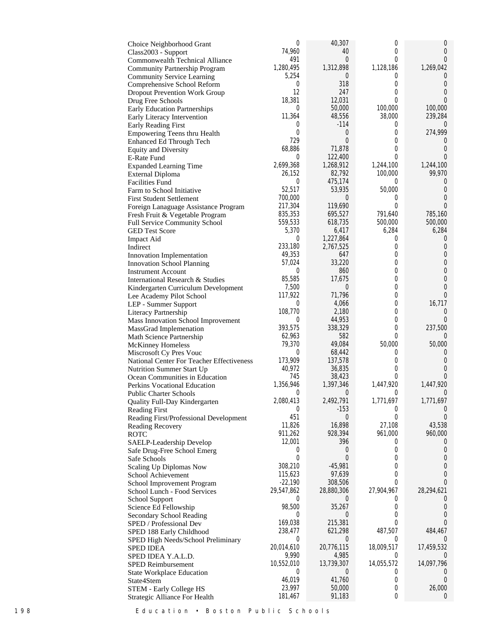| Choice Neighborhood Grant                          | 0                       | 40,307                | 0                | $\theta$                 |
|----------------------------------------------------|-------------------------|-----------------------|------------------|--------------------------|
| Class2003 - Support                                | 74,960                  | 40                    | 0                | 0                        |
| Commonwealth Technical Alliance                    | 491                     | 0                     | 0                | $\theta$                 |
| Community Partnership Program                      | 1,280,495               | 1,312,898             | 1,128,186        | 1,269,042                |
| <b>Community Service Learning</b>                  | 5,254                   | 0                     | 0                | $\cup$                   |
| Comprehensive School Reform                        | 0<br>12                 | 318<br>247            | 0<br>0           | $\theta$                 |
| <b>Dropout Prevention Work Group</b>               | 18,381                  |                       | 0                | 0<br>0                   |
| Drug Free Schools                                  | $\sigma$                | 12,031<br>50,000      | 100,000          | 100,000                  |
| <b>Early Education Partnerships</b>                | 11,364                  | 48,556                | 38,000           | 239,284                  |
| Early Literacy Intervention<br>Early Reading First | $\sigma$                | $-114$                | 0                | $\cup$                   |
| Empowering Teens thru Health                       | 0                       | 0                     | 0                | 274,999                  |
| Enhanced Ed Through Tech                           | 729                     | $\overline{0}$        | 0                | U                        |
| <b>Equity and Diversity</b>                        | 68,886                  | 71,878                | 0                | $\theta$                 |
| <b>E-Rate Fund</b>                                 | $\overline{0}$          | 122,400               | 0                | $\theta$                 |
| <b>Expanded Learning Time</b>                      | 2,699,368               | 1,268,912             | 1,244,100        | 1,244,100                |
| External Diploma                                   | 26,152                  | 82,792                | 100,000          | 99,970                   |
| <b>Facilities Fund</b>                             | $\overline{0}$          | 475,174               | 0                | $\cup$                   |
| Farm to School Initiative                          | 52,517                  | 53,935                | 50,000           | 0                        |
| <b>First Student Settlement</b>                    | 700,000                 | 0                     | 0                | 0                        |
| Foreign Lanaguage Assistance Program               | 217,304                 | 119,690               | 0                | $\theta$                 |
| Fresh Fruit & Vegetable Program                    | 835,353                 | 695,527               | 791,640          | 785,160                  |
| Full Service Community School                      | 559,533                 | 618,735               | 500,000          | 500,000                  |
| <b>GED Test Score</b>                              | 5,370                   | 6,417                 | 6,284            | 6,284                    |
| <b>Impact Aid</b>                                  | 0                       | 1,227,864             | 0                | $\overline{0}$           |
| Indirect                                           | 233,180                 | 2,767,525             | 0                | 0                        |
| Innovation Implementation                          | 49,353                  | 647                   | 0                | $\theta$                 |
| <b>Innovation School Planning</b>                  | 57,024                  | 33,220                | 0                | $\theta$                 |
| <b>Instrument Account</b>                          | $\sigma$                | 860                   | 0                | $\mathbf 0$              |
| International Research & Studies                   | 85,585                  | 17,675                | 0                | $\theta$                 |
| Kindergarten Curriculum Development                | 7,500                   | 0                     | 0                | 0                        |
| Lee Academy Pilot School                           | 117,922                 | 71,796                | 0                | $\Omega$                 |
| LEP - Summer Support                               | $\sigma$<br>108,770     | 4,066<br>2,180        | 0<br>0           | 16,717<br>$\overline{0}$ |
| Literacy Partnership                               | 0                       | 44,953                | 0                |                          |
| Mass Innovation School Improvement                 | 393,575                 | 338,329               | 0                | 237,500                  |
| MassGrad Implemenation<br>Math Science Partnership | 62,963                  | 582                   | 0                | $\Omega$                 |
| <b>McKinney Homeless</b>                           | 79,370                  | 49,084                | 50,000           | 50,000                   |
| Miscrosoft Cy Pres Vouc                            | $\overline{0}$          | 68,442                | 0                | $\theta$                 |
| National Center For Teacher Effectiveness          | 173,909                 | 137,578               | 0                | 0                        |
| Nutrition Summer Start Up                          | 40,972                  | 36,835                | 0                | 0                        |
| Ocean Communities in Education                     | 745                     | 38,423                | 0                | $\Omega$                 |
| Perkins Vocational Education                       | 1,356,946               | 1,397,346             | 1,447,920        | 1,447,920                |
| <b>Public Charter Schools</b>                      | $\overline{0}$          | 0                     | 0                | $\theta$                 |
| Quality Full-Day Kindergarten                      | 2,080,413               | 2,492,791             | 1,771,697        | 1,771,697                |
| <b>Reading First</b>                               | $\boldsymbol{0}$        | $-153$                | $\boldsymbol{0}$ | $\theta$                 |
| Reading First/Professional Development             | 451                     | 0                     | 0                | $\theta$                 |
| Reading Recovery                                   | 11,826                  | 16,898                | 27,108           | 43,538                   |
| ROTC                                               | 911,262                 | 928,394               | 961,000          | 960,000                  |
| SAELP-Leadership Develop                           | 12,001                  | 396                   | 0                | $\cup$                   |
| Safe Drug-Free School Emerg                        | $\sigma$                | 0                     | 0                | $\theta$                 |
| Safe Schools                                       | 0                       | 0                     | 0                | 0                        |
| Scaling Up Diplomas Now                            | 308,210                 | $-45,981$             | 0                | 0                        |
| School Achievement                                 | 115,623                 | 97,639                | 0<br>0           | $\mathbf 0$              |
| School Improvement Program                         | $-22,190$<br>29,547,862 | 308,506<br>28,880,306 |                  | 0                        |
| School Lunch - Food Services                       | $\theta$                | 0                     | 27,904,967<br>0  | 28,294,621<br>U          |
| School Support<br>Science Ed Fellowship            | 98,500                  | 35,267                | 0                | 0                        |
| Secondary School Reading                           | 0                       | 0                     | 0                | $\theta$                 |
| SPED / Professional Dev                            | 169,038                 | 215,381               | 0                | 0                        |
| SPED 188 Early Childhood                           | 238,477                 | 621,298               | 487,507          | 484,467                  |
| SPED High Needs/School Preliminary                 | $\overline{0}$          | 0                     | 0                |                          |
| <b>SPED IDEA</b>                                   | 20,014,610              | 20,776,115            | 18,009,517       | 17,459,532               |
| SPED IDEA Y.A.L.D.                                 | 9,990                   | 4,985                 | 0                | $\cup$                   |
| <b>SPED Reimbursement</b>                          | 10,552,010              | 13,739,307            | 14,055,572       | 14,097,796               |
| <b>State Workplace Education</b>                   | $\overline{0}$          | 0                     | 0                | $\cup$                   |
| State4Stem                                         | 46,019                  | 41,760                | 0                | $\overline{0}$           |
| STEM - Early College HS                            | 23,997                  | 50,000                | 0                | 26,000                   |
| Strategic Alliance For Health                      | 181,467                 | 91,183                | 0                | $\overline{0}$           |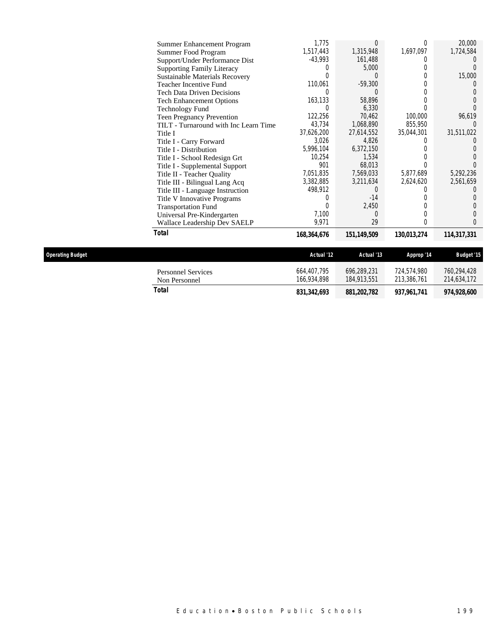|                         | Summer Enhancement Program            | 1,775       | 0           |                  | 20,000            |
|-------------------------|---------------------------------------|-------------|-------------|------------------|-------------------|
|                         | Summer Food Program                   | 1,517,443   | 1,315,948   | 1,697,097        | 1,724,584         |
|                         | Support/Under Performance Dist        | $-43,993$   | 161,488     |                  |                   |
|                         | <b>Supporting Family Literacy</b>     |             | 5,000       | $\left( \right)$ |                   |
|                         | <b>Sustainable Materials Recovery</b> | N           |             |                  | 15,000            |
|                         | Teacher Incentive Fund                | 110,061     | $-59,300$   |                  | $\left( \right)$  |
|                         | <b>Tech Data Driven Decisions</b>     | 0           |             |                  |                   |
|                         | <b>Tech Enhancement Options</b>       | 163,133     | 58,896      |                  |                   |
|                         | <b>Technology Fund</b>                | 0           | 6,330       |                  |                   |
|                         | Teen Pregnancy Prevention             | 122,256     | 70,462      | 100,000          | 96,619            |
|                         | TILT - Turnaround with Inc Learn Time | 43,734      | 1,068,890   | 855,950          |                   |
|                         | Title I                               | 37,626,200  | 27,614,552  | 35,044,301       | 31,511,022        |
|                         | Title I - Carry Forward               | 3,026       | 4,826       |                  |                   |
|                         | Title I - Distribution                | 5,996,104   | 6,372,150   |                  |                   |
|                         | Title I - School Redesign Grt         | 10,254      | 1,534       |                  |                   |
|                         | Title I - Supplemental Support        | 901         | 68,013      |                  |                   |
|                         | Title II - Teacher Quality            | 7,051,835   | 7,569,033   | 5,877,689        | 5,292,236         |
|                         | Title III - Bilingual Lang Acq        | 3,382,885   | 3,211,634   | 2,624,620        | 2,561,659         |
|                         | Title III - Language Instruction      | 498,912     | 0           |                  |                   |
|                         | Title V Innovative Programs           | 0           | $-14$       |                  |                   |
|                         | <b>Transportation Fund</b>            | Λ           | 2,450       |                  |                   |
|                         | Universal Pre-Kindergarten            | 7,100       | 0           |                  |                   |
|                         | Wallace Leadership Dev SAELP          | 9,971       | 29          |                  | 0                 |
|                         | Total                                 | 168,364,676 | 151,149,509 | 130,013,274      | 114,317,331       |
| <b>Operating Budget</b> |                                       | Actual '12  | Actual '13  | Approp '14       | <b>Budget '15</b> |
|                         |                                       |             |             |                  |                   |
|                         | <b>Personnel Services</b>             | 664,407,795 | 696,289,231 | 724,574,980      | 760,294,428       |
|                         | Non Personnel                         | 166,934,898 | 184,913,551 | 213,386,761      | 214,634,172       |

*Total 831,342,693 881,202,782 937,961,741 974,928,600*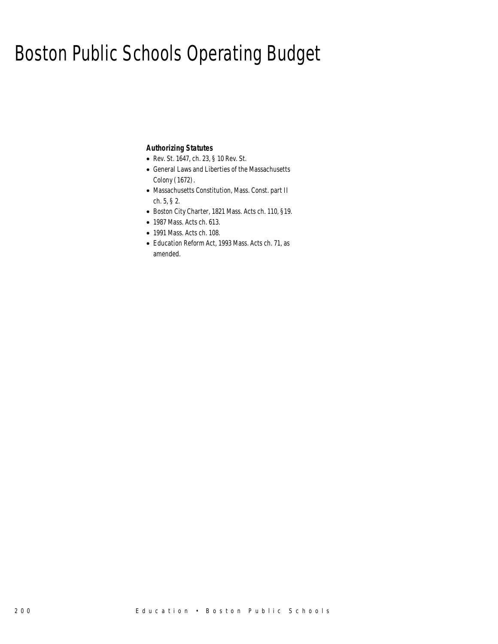### Boston Public Schools Operating Budget

### *Authorizing Statutes*

- Rev. St. 1647, ch. 23, § 10 Rev. St.
- General Laws and Liberties of the Massachusetts Colony (1672).
- Massachusetts Constitution, Mass. Const. part II ch. 5, § 2.
- Boston City Charter, 1821 Mass. Acts ch. 110, §19.
- 1987 Mass. Acts ch. 613.
- 1991 Mass. Acts ch. 108.
- Education Reform Act, 1993 Mass. Acts ch. 71, as amended.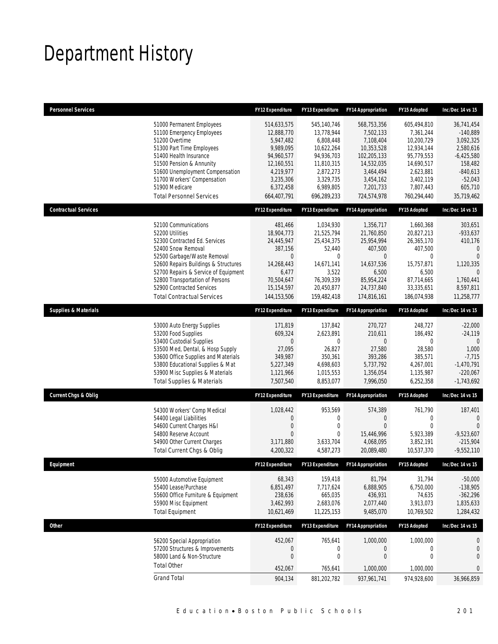# Department History

| 51000 Permanent Employees<br>545,140,746<br>568,753,356<br>605,494,810<br>36,741,454<br>514,633,575<br>51100 Emergency Employees<br>12,888,770<br>13,778,944<br>7,502,133<br>7,361,244<br>$-140,889$<br>10,200,729<br>51200 Overtime<br>5,947,482<br>6,808,448<br>7,108,404<br>3,092,325<br>51300 Part Time Employees<br>9.989.095<br>10,622,264<br>10,353,528<br>12,934,144<br>2,580,616<br>94,936,703<br>51400 Health Insurance<br>94,960,577<br>102,205,133<br>95,779,553<br>$-6,425,580$<br>14,532,035<br>51500 Pension & Annunity<br>12,160,551<br>11,810,315<br>14,690,517<br>158,482<br>4,219,977<br>2,623,881<br>51600 Unemployment Compensation<br>2,872,273<br>3,464,494<br>$-840,613$<br>3,329,735<br>51700 Workers' Compensation<br>3,235,306<br>3,402,119<br>$-52,043$<br>3,454,162<br>51900 Medicare<br>6,372,458<br>6,989,805<br>7,201,733<br>7,807,443<br>605,710<br><b>Total Personnel Services</b><br>35,719,462<br>664,407,791<br>696,289,233<br>724,574,978<br>760,294,440<br><b>Contractual Services</b><br>FY13 Expenditure<br><b>FY14 Appropriation</b><br><b>FY12 Expenditure</b><br><b>FY15 Adopted</b><br>Inc/Dec 14 vs 15<br>481,466<br>1,034,930<br>1,356,717<br>1,660,368<br>303,651<br>52100 Communications<br>52200 Utilities<br>21,525,794<br>18,904,773<br>21,760,850<br>20,827,213<br>$-933,637$<br>52300 Contracted Ed. Services<br>25,434,375<br>25,954,994<br>26,365,170<br>24,445,947<br>410,176<br>52400 Snow Removal<br>387,156<br>52,440<br>407,500<br>407,500<br>$\Omega$<br>$\Omega$<br>52500 Garbage/Waste Removal<br>$\mathbf 0$<br>0<br>$\theta$<br>0<br>52600 Repairs Buildings & Structures<br>14,268,443<br>14,671,141<br>14,637,536<br>15.757.871<br>1,120,335<br>52700 Repairs & Service of Equipment<br>6,477<br>3,522<br>6,500<br>6,500<br>U<br>76,309,339<br>52800 Transportation of Persons<br>70,504,647<br>85,954,224<br>87,714,665<br>1,760,441<br>52900 Contracted Services<br>15,154,597<br>20,450,877<br>24,737,840<br>33,335,651<br>8,597,811<br>11,258,777<br><b>Total Contractual Services</b><br>144, 153, 506<br>159,482,418<br>174,816,161<br>186,074,938<br><b>Supplies &amp; Materials</b><br>FY12 Expenditure<br><b>FY13 Expenditure</b><br>FY15 Adopted<br>Inc/Dec 14 vs 15<br><b>FY14 Appropriation</b><br>171,819<br>137,842<br>270,727<br>248,727<br>$-22,000$<br>53000 Auto Energy Supplies<br>53200 Food Supplies<br>609,324<br>2.623.891<br>210,611<br>186,492<br>$-24,119$<br>53400 Custodial Supplies<br>0<br>0<br>$\theta$<br>0<br>$\mathbf{0}$<br>28,580<br>53500 Med, Dental, & Hosp Supply<br>27,095<br>26,827<br>27,580<br>1,000<br>53600 Office Supplies and Materials<br>$-7,715$<br>349,987<br>350,361<br>393,286<br>385,571<br>$-1,470,791$<br>53800 Educational Supplies & Mat<br>5,227,349<br>4,698,603<br>5,737,792<br>4,267,001<br>53900 Misc Supplies & Materials<br>1,135,987<br>$-220,067$<br>1,121,966<br>1,015,553<br>1,356,054<br>8,853,077<br>7,996,050<br>$-1,743,692$<br><b>Total Supplies &amp; Materials</b><br>7,507,540<br>6,252,358<br><b>Current Chgs &amp; Oblig</b><br>FY12 Expenditure<br>FY13 Expenditure<br><b>FY14 Appropriation</b><br>FY15 Adopted<br>Inc/Dec 14 vs 15<br>1,028,442<br>953,569<br>574,389<br>761,790<br>187,401<br>54300 Workers' Comp Medical<br>54400 Legal Liabilities<br>0<br>0<br>$\boldsymbol{0}$<br>0<br>$\mathbf 0$<br>54600 Current Charges H&I<br>$\mathbf 0$<br>$\boldsymbol{0}$<br>$\overline{0}$<br>$\mathbf 0$<br>$\mathbf{0}$<br>54800 Reserve Account<br>$\overline{0}$<br>0<br>15,446,996<br>5,923,389<br>$-9,523,607$<br>54900 Other Current Charges<br>3,633,704<br>4,068,095<br>3,852,191<br>$-215,904$<br>3,171,880<br>$-9,552,110$<br>Total Current Chgs & Oblig<br>4,587,273<br>20,089,480<br>10,537,370<br>4,200,322<br><b>Fauinment</b><br><b>FY15 Adonted</b><br><b>FY12 Expenditure</b><br><b>FY13 Expenditure</b><br><b>FY14 Appropriation</b><br>$Inc/Dec$ 14 $vs$ 15 |                             | <b>FY12 Expenditure</b> | <b>FY13 Expenditure</b> | <b>FY14 Appropriation</b> | FY15 Adopted | Inc/Dec 14 vs 15 |
|---------------------------------------------------------------------------------------------------------------------------------------------------------------------------------------------------------------------------------------------------------------------------------------------------------------------------------------------------------------------------------------------------------------------------------------------------------------------------------------------------------------------------------------------------------------------------------------------------------------------------------------------------------------------------------------------------------------------------------------------------------------------------------------------------------------------------------------------------------------------------------------------------------------------------------------------------------------------------------------------------------------------------------------------------------------------------------------------------------------------------------------------------------------------------------------------------------------------------------------------------------------------------------------------------------------------------------------------------------------------------------------------------------------------------------------------------------------------------------------------------------------------------------------------------------------------------------------------------------------------------------------------------------------------------------------------------------------------------------------------------------------------------------------------------------------------------------------------------------------------------------------------------------------------------------------------------------------------------------------------------------------------------------------------------------------------------------------------------------------------------------------------------------------------------------------------------------------------------------------------------------------------------------------------------------------------------------------------------------------------------------------------------------------------------------------------------------------------------------------------------------------------------------------------------------------------------------------------------------------------------------------------------------------------------------------------------------------------------------------------------------------------------------------------------------------------------------------------------------------------------------------------------------------------------------------------------------------------------------------------------------------------------------------------------------------------------------------------------------------------------------------------------------------------------------------------------------------------------------------------------------------------------------------------------------------------------------------------------------------------------------------------------------------------------------------------------------------------------------------------------------------------------------------------------------------------------------------------------------------------------------------------------------------------------------------------------------------------------------------------------------------------------------------------------------------------------------------------------------------------------------------------------------------------------------------|-----------------------------|-------------------------|-------------------------|---------------------------|--------------|------------------|
|                                                                                                                                                                                                                                                                                                                                                                                                                                                                                                                                                                                                                                                                                                                                                                                                                                                                                                                                                                                                                                                                                                                                                                                                                                                                                                                                                                                                                                                                                                                                                                                                                                                                                                                                                                                                                                                                                                                                                                                                                                                                                                                                                                                                                                                                                                                                                                                                                                                                                                                                                                                                                                                                                                                                                                                                                                                                                                                                                                                                                                                                                                                                                                                                                                                                                                                                                                                                                                                                                                                                                                                                                                                                                                                                                                                                                                                                                                                                       |                             |                         |                         |                           |              |                  |
|                                                                                                                                                                                                                                                                                                                                                                                                                                                                                                                                                                                                                                                                                                                                                                                                                                                                                                                                                                                                                                                                                                                                                                                                                                                                                                                                                                                                                                                                                                                                                                                                                                                                                                                                                                                                                                                                                                                                                                                                                                                                                                                                                                                                                                                                                                                                                                                                                                                                                                                                                                                                                                                                                                                                                                                                                                                                                                                                                                                                                                                                                                                                                                                                                                                                                                                                                                                                                                                                                                                                                                                                                                                                                                                                                                                                                                                                                                                                       |                             |                         |                         |                           |              |                  |
|                                                                                                                                                                                                                                                                                                                                                                                                                                                                                                                                                                                                                                                                                                                                                                                                                                                                                                                                                                                                                                                                                                                                                                                                                                                                                                                                                                                                                                                                                                                                                                                                                                                                                                                                                                                                                                                                                                                                                                                                                                                                                                                                                                                                                                                                                                                                                                                                                                                                                                                                                                                                                                                                                                                                                                                                                                                                                                                                                                                                                                                                                                                                                                                                                                                                                                                                                                                                                                                                                                                                                                                                                                                                                                                                                                                                                                                                                                                                       |                             |                         |                         |                           |              |                  |
|                                                                                                                                                                                                                                                                                                                                                                                                                                                                                                                                                                                                                                                                                                                                                                                                                                                                                                                                                                                                                                                                                                                                                                                                                                                                                                                                                                                                                                                                                                                                                                                                                                                                                                                                                                                                                                                                                                                                                                                                                                                                                                                                                                                                                                                                                                                                                                                                                                                                                                                                                                                                                                                                                                                                                                                                                                                                                                                                                                                                                                                                                                                                                                                                                                                                                                                                                                                                                                                                                                                                                                                                                                                                                                                                                                                                                                                                                                                                       |                             |                         |                         |                           |              |                  |
|                                                                                                                                                                                                                                                                                                                                                                                                                                                                                                                                                                                                                                                                                                                                                                                                                                                                                                                                                                                                                                                                                                                                                                                                                                                                                                                                                                                                                                                                                                                                                                                                                                                                                                                                                                                                                                                                                                                                                                                                                                                                                                                                                                                                                                                                                                                                                                                                                                                                                                                                                                                                                                                                                                                                                                                                                                                                                                                                                                                                                                                                                                                                                                                                                                                                                                                                                                                                                                                                                                                                                                                                                                                                                                                                                                                                                                                                                                                                       |                             |                         |                         |                           |              |                  |
|                                                                                                                                                                                                                                                                                                                                                                                                                                                                                                                                                                                                                                                                                                                                                                                                                                                                                                                                                                                                                                                                                                                                                                                                                                                                                                                                                                                                                                                                                                                                                                                                                                                                                                                                                                                                                                                                                                                                                                                                                                                                                                                                                                                                                                                                                                                                                                                                                                                                                                                                                                                                                                                                                                                                                                                                                                                                                                                                                                                                                                                                                                                                                                                                                                                                                                                                                                                                                                                                                                                                                                                                                                                                                                                                                                                                                                                                                                                                       |                             |                         |                         |                           |              |                  |
|                                                                                                                                                                                                                                                                                                                                                                                                                                                                                                                                                                                                                                                                                                                                                                                                                                                                                                                                                                                                                                                                                                                                                                                                                                                                                                                                                                                                                                                                                                                                                                                                                                                                                                                                                                                                                                                                                                                                                                                                                                                                                                                                                                                                                                                                                                                                                                                                                                                                                                                                                                                                                                                                                                                                                                                                                                                                                                                                                                                                                                                                                                                                                                                                                                                                                                                                                                                                                                                                                                                                                                                                                                                                                                                                                                                                                                                                                                                                       |                             |                         |                         |                           |              |                  |
|                                                                                                                                                                                                                                                                                                                                                                                                                                                                                                                                                                                                                                                                                                                                                                                                                                                                                                                                                                                                                                                                                                                                                                                                                                                                                                                                                                                                                                                                                                                                                                                                                                                                                                                                                                                                                                                                                                                                                                                                                                                                                                                                                                                                                                                                                                                                                                                                                                                                                                                                                                                                                                                                                                                                                                                                                                                                                                                                                                                                                                                                                                                                                                                                                                                                                                                                                                                                                                                                                                                                                                                                                                                                                                                                                                                                                                                                                                                                       |                             |                         |                         |                           |              |                  |
|                                                                                                                                                                                                                                                                                                                                                                                                                                                                                                                                                                                                                                                                                                                                                                                                                                                                                                                                                                                                                                                                                                                                                                                                                                                                                                                                                                                                                                                                                                                                                                                                                                                                                                                                                                                                                                                                                                                                                                                                                                                                                                                                                                                                                                                                                                                                                                                                                                                                                                                                                                                                                                                                                                                                                                                                                                                                                                                                                                                                                                                                                                                                                                                                                                                                                                                                                                                                                                                                                                                                                                                                                                                                                                                                                                                                                                                                                                                                       |                             |                         |                         |                           |              |                  |
|                                                                                                                                                                                                                                                                                                                                                                                                                                                                                                                                                                                                                                                                                                                                                                                                                                                                                                                                                                                                                                                                                                                                                                                                                                                                                                                                                                                                                                                                                                                                                                                                                                                                                                                                                                                                                                                                                                                                                                                                                                                                                                                                                                                                                                                                                                                                                                                                                                                                                                                                                                                                                                                                                                                                                                                                                                                                                                                                                                                                                                                                                                                                                                                                                                                                                                                                                                                                                                                                                                                                                                                                                                                                                                                                                                                                                                                                                                                                       |                             |                         |                         |                           |              |                  |
|                                                                                                                                                                                                                                                                                                                                                                                                                                                                                                                                                                                                                                                                                                                                                                                                                                                                                                                                                                                                                                                                                                                                                                                                                                                                                                                                                                                                                                                                                                                                                                                                                                                                                                                                                                                                                                                                                                                                                                                                                                                                                                                                                                                                                                                                                                                                                                                                                                                                                                                                                                                                                                                                                                                                                                                                                                                                                                                                                                                                                                                                                                                                                                                                                                                                                                                                                                                                                                                                                                                                                                                                                                                                                                                                                                                                                                                                                                                                       |                             |                         |                         |                           |              |                  |
|                                                                                                                                                                                                                                                                                                                                                                                                                                                                                                                                                                                                                                                                                                                                                                                                                                                                                                                                                                                                                                                                                                                                                                                                                                                                                                                                                                                                                                                                                                                                                                                                                                                                                                                                                                                                                                                                                                                                                                                                                                                                                                                                                                                                                                                                                                                                                                                                                                                                                                                                                                                                                                                                                                                                                                                                                                                                                                                                                                                                                                                                                                                                                                                                                                                                                                                                                                                                                                                                                                                                                                                                                                                                                                                                                                                                                                                                                                                                       |                             |                         |                         |                           |              |                  |
|                                                                                                                                                                                                                                                                                                                                                                                                                                                                                                                                                                                                                                                                                                                                                                                                                                                                                                                                                                                                                                                                                                                                                                                                                                                                                                                                                                                                                                                                                                                                                                                                                                                                                                                                                                                                                                                                                                                                                                                                                                                                                                                                                                                                                                                                                                                                                                                                                                                                                                                                                                                                                                                                                                                                                                                                                                                                                                                                                                                                                                                                                                                                                                                                                                                                                                                                                                                                                                                                                                                                                                                                                                                                                                                                                                                                                                                                                                                                       |                             |                         |                         |                           |              |                  |
|                                                                                                                                                                                                                                                                                                                                                                                                                                                                                                                                                                                                                                                                                                                                                                                                                                                                                                                                                                                                                                                                                                                                                                                                                                                                                                                                                                                                                                                                                                                                                                                                                                                                                                                                                                                                                                                                                                                                                                                                                                                                                                                                                                                                                                                                                                                                                                                                                                                                                                                                                                                                                                                                                                                                                                                                                                                                                                                                                                                                                                                                                                                                                                                                                                                                                                                                                                                                                                                                                                                                                                                                                                                                                                                                                                                                                                                                                                                                       |                             |                         |                         |                           |              |                  |
|                                                                                                                                                                                                                                                                                                                                                                                                                                                                                                                                                                                                                                                                                                                                                                                                                                                                                                                                                                                                                                                                                                                                                                                                                                                                                                                                                                                                                                                                                                                                                                                                                                                                                                                                                                                                                                                                                                                                                                                                                                                                                                                                                                                                                                                                                                                                                                                                                                                                                                                                                                                                                                                                                                                                                                                                                                                                                                                                                                                                                                                                                                                                                                                                                                                                                                                                                                                                                                                                                                                                                                                                                                                                                                                                                                                                                                                                                                                                       |                             |                         |                         |                           |              |                  |
|                                                                                                                                                                                                                                                                                                                                                                                                                                                                                                                                                                                                                                                                                                                                                                                                                                                                                                                                                                                                                                                                                                                                                                                                                                                                                                                                                                                                                                                                                                                                                                                                                                                                                                                                                                                                                                                                                                                                                                                                                                                                                                                                                                                                                                                                                                                                                                                                                                                                                                                                                                                                                                                                                                                                                                                                                                                                                                                                                                                                                                                                                                                                                                                                                                                                                                                                                                                                                                                                                                                                                                                                                                                                                                                                                                                                                                                                                                                                       |                             |                         |                         |                           |              |                  |
|                                                                                                                                                                                                                                                                                                                                                                                                                                                                                                                                                                                                                                                                                                                                                                                                                                                                                                                                                                                                                                                                                                                                                                                                                                                                                                                                                                                                                                                                                                                                                                                                                                                                                                                                                                                                                                                                                                                                                                                                                                                                                                                                                                                                                                                                                                                                                                                                                                                                                                                                                                                                                                                                                                                                                                                                                                                                                                                                                                                                                                                                                                                                                                                                                                                                                                                                                                                                                                                                                                                                                                                                                                                                                                                                                                                                                                                                                                                                       |                             |                         |                         |                           |              |                  |
|                                                                                                                                                                                                                                                                                                                                                                                                                                                                                                                                                                                                                                                                                                                                                                                                                                                                                                                                                                                                                                                                                                                                                                                                                                                                                                                                                                                                                                                                                                                                                                                                                                                                                                                                                                                                                                                                                                                                                                                                                                                                                                                                                                                                                                                                                                                                                                                                                                                                                                                                                                                                                                                                                                                                                                                                                                                                                                                                                                                                                                                                                                                                                                                                                                                                                                                                                                                                                                                                                                                                                                                                                                                                                                                                                                                                                                                                                                                                       |                             |                         |                         |                           |              |                  |
|                                                                                                                                                                                                                                                                                                                                                                                                                                                                                                                                                                                                                                                                                                                                                                                                                                                                                                                                                                                                                                                                                                                                                                                                                                                                                                                                                                                                                                                                                                                                                                                                                                                                                                                                                                                                                                                                                                                                                                                                                                                                                                                                                                                                                                                                                                                                                                                                                                                                                                                                                                                                                                                                                                                                                                                                                                                                                                                                                                                                                                                                                                                                                                                                                                                                                                                                                                                                                                                                                                                                                                                                                                                                                                                                                                                                                                                                                                                                       |                             |                         |                         |                           |              |                  |
|                                                                                                                                                                                                                                                                                                                                                                                                                                                                                                                                                                                                                                                                                                                                                                                                                                                                                                                                                                                                                                                                                                                                                                                                                                                                                                                                                                                                                                                                                                                                                                                                                                                                                                                                                                                                                                                                                                                                                                                                                                                                                                                                                                                                                                                                                                                                                                                                                                                                                                                                                                                                                                                                                                                                                                                                                                                                                                                                                                                                                                                                                                                                                                                                                                                                                                                                                                                                                                                                                                                                                                                                                                                                                                                                                                                                                                                                                                                                       |                             |                         |                         |                           |              |                  |
|                                                                                                                                                                                                                                                                                                                                                                                                                                                                                                                                                                                                                                                                                                                                                                                                                                                                                                                                                                                                                                                                                                                                                                                                                                                                                                                                                                                                                                                                                                                                                                                                                                                                                                                                                                                                                                                                                                                                                                                                                                                                                                                                                                                                                                                                                                                                                                                                                                                                                                                                                                                                                                                                                                                                                                                                                                                                                                                                                                                                                                                                                                                                                                                                                                                                                                                                                                                                                                                                                                                                                                                                                                                                                                                                                                                                                                                                                                                                       |                             |                         |                         |                           |              |                  |
|                                                                                                                                                                                                                                                                                                                                                                                                                                                                                                                                                                                                                                                                                                                                                                                                                                                                                                                                                                                                                                                                                                                                                                                                                                                                                                                                                                                                                                                                                                                                                                                                                                                                                                                                                                                                                                                                                                                                                                                                                                                                                                                                                                                                                                                                                                                                                                                                                                                                                                                                                                                                                                                                                                                                                                                                                                                                                                                                                                                                                                                                                                                                                                                                                                                                                                                                                                                                                                                                                                                                                                                                                                                                                                                                                                                                                                                                                                                                       |                             |                         |                         |                           |              |                  |
|                                                                                                                                                                                                                                                                                                                                                                                                                                                                                                                                                                                                                                                                                                                                                                                                                                                                                                                                                                                                                                                                                                                                                                                                                                                                                                                                                                                                                                                                                                                                                                                                                                                                                                                                                                                                                                                                                                                                                                                                                                                                                                                                                                                                                                                                                                                                                                                                                                                                                                                                                                                                                                                                                                                                                                                                                                                                                                                                                                                                                                                                                                                                                                                                                                                                                                                                                                                                                                                                                                                                                                                                                                                                                                                                                                                                                                                                                                                                       |                             |                         |                         |                           |              |                  |
|                                                                                                                                                                                                                                                                                                                                                                                                                                                                                                                                                                                                                                                                                                                                                                                                                                                                                                                                                                                                                                                                                                                                                                                                                                                                                                                                                                                                                                                                                                                                                                                                                                                                                                                                                                                                                                                                                                                                                                                                                                                                                                                                                                                                                                                                                                                                                                                                                                                                                                                                                                                                                                                                                                                                                                                                                                                                                                                                                                                                                                                                                                                                                                                                                                                                                                                                                                                                                                                                                                                                                                                                                                                                                                                                                                                                                                                                                                                                       |                             |                         |                         |                           |              |                  |
|                                                                                                                                                                                                                                                                                                                                                                                                                                                                                                                                                                                                                                                                                                                                                                                                                                                                                                                                                                                                                                                                                                                                                                                                                                                                                                                                                                                                                                                                                                                                                                                                                                                                                                                                                                                                                                                                                                                                                                                                                                                                                                                                                                                                                                                                                                                                                                                                                                                                                                                                                                                                                                                                                                                                                                                                                                                                                                                                                                                                                                                                                                                                                                                                                                                                                                                                                                                                                                                                                                                                                                                                                                                                                                                                                                                                                                                                                                                                       |                             |                         |                         |                           |              |                  |
|                                                                                                                                                                                                                                                                                                                                                                                                                                                                                                                                                                                                                                                                                                                                                                                                                                                                                                                                                                                                                                                                                                                                                                                                                                                                                                                                                                                                                                                                                                                                                                                                                                                                                                                                                                                                                                                                                                                                                                                                                                                                                                                                                                                                                                                                                                                                                                                                                                                                                                                                                                                                                                                                                                                                                                                                                                                                                                                                                                                                                                                                                                                                                                                                                                                                                                                                                                                                                                                                                                                                                                                                                                                                                                                                                                                                                                                                                                                                       |                             |                         |                         |                           |              |                  |
|                                                                                                                                                                                                                                                                                                                                                                                                                                                                                                                                                                                                                                                                                                                                                                                                                                                                                                                                                                                                                                                                                                                                                                                                                                                                                                                                                                                                                                                                                                                                                                                                                                                                                                                                                                                                                                                                                                                                                                                                                                                                                                                                                                                                                                                                                                                                                                                                                                                                                                                                                                                                                                                                                                                                                                                                                                                                                                                                                                                                                                                                                                                                                                                                                                                                                                                                                                                                                                                                                                                                                                                                                                                                                                                                                                                                                                                                                                                                       |                             |                         |                         |                           |              |                  |
|                                                                                                                                                                                                                                                                                                                                                                                                                                                                                                                                                                                                                                                                                                                                                                                                                                                                                                                                                                                                                                                                                                                                                                                                                                                                                                                                                                                                                                                                                                                                                                                                                                                                                                                                                                                                                                                                                                                                                                                                                                                                                                                                                                                                                                                                                                                                                                                                                                                                                                                                                                                                                                                                                                                                                                                                                                                                                                                                                                                                                                                                                                                                                                                                                                                                                                                                                                                                                                                                                                                                                                                                                                                                                                                                                                                                                                                                                                                                       |                             |                         |                         |                           |              |                  |
|                                                                                                                                                                                                                                                                                                                                                                                                                                                                                                                                                                                                                                                                                                                                                                                                                                                                                                                                                                                                                                                                                                                                                                                                                                                                                                                                                                                                                                                                                                                                                                                                                                                                                                                                                                                                                                                                                                                                                                                                                                                                                                                                                                                                                                                                                                                                                                                                                                                                                                                                                                                                                                                                                                                                                                                                                                                                                                                                                                                                                                                                                                                                                                                                                                                                                                                                                                                                                                                                                                                                                                                                                                                                                                                                                                                                                                                                                                                                       |                             |                         |                         |                           |              |                  |
|                                                                                                                                                                                                                                                                                                                                                                                                                                                                                                                                                                                                                                                                                                                                                                                                                                                                                                                                                                                                                                                                                                                                                                                                                                                                                                                                                                                                                                                                                                                                                                                                                                                                                                                                                                                                                                                                                                                                                                                                                                                                                                                                                                                                                                                                                                                                                                                                                                                                                                                                                                                                                                                                                                                                                                                                                                                                                                                                                                                                                                                                                                                                                                                                                                                                                                                                                                                                                                                                                                                                                                                                                                                                                                                                                                                                                                                                                                                                       |                             |                         |                         |                           |              |                  |
|                                                                                                                                                                                                                                                                                                                                                                                                                                                                                                                                                                                                                                                                                                                                                                                                                                                                                                                                                                                                                                                                                                                                                                                                                                                                                                                                                                                                                                                                                                                                                                                                                                                                                                                                                                                                                                                                                                                                                                                                                                                                                                                                                                                                                                                                                                                                                                                                                                                                                                                                                                                                                                                                                                                                                                                                                                                                                                                                                                                                                                                                                                                                                                                                                                                                                                                                                                                                                                                                                                                                                                                                                                                                                                                                                                                                                                                                                                                                       |                             |                         |                         |                           |              |                  |
|                                                                                                                                                                                                                                                                                                                                                                                                                                                                                                                                                                                                                                                                                                                                                                                                                                                                                                                                                                                                                                                                                                                                                                                                                                                                                                                                                                                                                                                                                                                                                                                                                                                                                                                                                                                                                                                                                                                                                                                                                                                                                                                                                                                                                                                                                                                                                                                                                                                                                                                                                                                                                                                                                                                                                                                                                                                                                                                                                                                                                                                                                                                                                                                                                                                                                                                                                                                                                                                                                                                                                                                                                                                                                                                                                                                                                                                                                                                                       |                             |                         |                         |                           |              |                  |
|                                                                                                                                                                                                                                                                                                                                                                                                                                                                                                                                                                                                                                                                                                                                                                                                                                                                                                                                                                                                                                                                                                                                                                                                                                                                                                                                                                                                                                                                                                                                                                                                                                                                                                                                                                                                                                                                                                                                                                                                                                                                                                                                                                                                                                                                                                                                                                                                                                                                                                                                                                                                                                                                                                                                                                                                                                                                                                                                                                                                                                                                                                                                                                                                                                                                                                                                                                                                                                                                                                                                                                                                                                                                                                                                                                                                                                                                                                                                       |                             |                         |                         |                           |              |                  |
|                                                                                                                                                                                                                                                                                                                                                                                                                                                                                                                                                                                                                                                                                                                                                                                                                                                                                                                                                                                                                                                                                                                                                                                                                                                                                                                                                                                                                                                                                                                                                                                                                                                                                                                                                                                                                                                                                                                                                                                                                                                                                                                                                                                                                                                                                                                                                                                                                                                                                                                                                                                                                                                                                                                                                                                                                                                                                                                                                                                                                                                                                                                                                                                                                                                                                                                                                                                                                                                                                                                                                                                                                                                                                                                                                                                                                                                                                                                                       |                             |                         |                         |                           |              |                  |
|                                                                                                                                                                                                                                                                                                                                                                                                                                                                                                                                                                                                                                                                                                                                                                                                                                                                                                                                                                                                                                                                                                                                                                                                                                                                                                                                                                                                                                                                                                                                                                                                                                                                                                                                                                                                                                                                                                                                                                                                                                                                                                                                                                                                                                                                                                                                                                                                                                                                                                                                                                                                                                                                                                                                                                                                                                                                                                                                                                                                                                                                                                                                                                                                                                                                                                                                                                                                                                                                                                                                                                                                                                                                                                                                                                                                                                                                                                                                       |                             |                         |                         |                           |              |                  |
| 31,794<br>68,343<br>159,418<br>81,794<br>$-50,000$<br>55000 Automotive Equipment                                                                                                                                                                                                                                                                                                                                                                                                                                                                                                                                                                                                                                                                                                                                                                                                                                                                                                                                                                                                                                                                                                                                                                                                                                                                                                                                                                                                                                                                                                                                                                                                                                                                                                                                                                                                                                                                                                                                                                                                                                                                                                                                                                                                                                                                                                                                                                                                                                                                                                                                                                                                                                                                                                                                                                                                                                                                                                                                                                                                                                                                                                                                                                                                                                                                                                                                                                                                                                                                                                                                                                                                                                                                                                                                                                                                                                                      |                             |                         |                         |                           |              |                  |
| 55400 Lease/Purchase<br>$-138,905$<br>6,851,497<br>7,717,624<br>6,888,905<br>6,750,000                                                                                                                                                                                                                                                                                                                                                                                                                                                                                                                                                                                                                                                                                                                                                                                                                                                                                                                                                                                                                                                                                                                                                                                                                                                                                                                                                                                                                                                                                                                                                                                                                                                                                                                                                                                                                                                                                                                                                                                                                                                                                                                                                                                                                                                                                                                                                                                                                                                                                                                                                                                                                                                                                                                                                                                                                                                                                                                                                                                                                                                                                                                                                                                                                                                                                                                                                                                                                                                                                                                                                                                                                                                                                                                                                                                                                                                |                             |                         |                         |                           |              |                  |
| 55600 Office Furniture & Equipment<br>238,636<br>665,035<br>$-362,296$<br>436,931<br>74,635                                                                                                                                                                                                                                                                                                                                                                                                                                                                                                                                                                                                                                                                                                                                                                                                                                                                                                                                                                                                                                                                                                                                                                                                                                                                                                                                                                                                                                                                                                                                                                                                                                                                                                                                                                                                                                                                                                                                                                                                                                                                                                                                                                                                                                                                                                                                                                                                                                                                                                                                                                                                                                                                                                                                                                                                                                                                                                                                                                                                                                                                                                                                                                                                                                                                                                                                                                                                                                                                                                                                                                                                                                                                                                                                                                                                                                           |                             |                         |                         |                           |              |                  |
| 1,835,633<br>55900 Misc Equipment<br>3,462,993<br>2,683,076<br>2,077,440<br>3,913,073                                                                                                                                                                                                                                                                                                                                                                                                                                                                                                                                                                                                                                                                                                                                                                                                                                                                                                                                                                                                                                                                                                                                                                                                                                                                                                                                                                                                                                                                                                                                                                                                                                                                                                                                                                                                                                                                                                                                                                                                                                                                                                                                                                                                                                                                                                                                                                                                                                                                                                                                                                                                                                                                                                                                                                                                                                                                                                                                                                                                                                                                                                                                                                                                                                                                                                                                                                                                                                                                                                                                                                                                                                                                                                                                                                                                                                                 |                             |                         |                         |                           |              |                  |
| <b>Total Equipment</b><br>10,621,469<br>11,225,153<br>9,485,070<br>10,769,502<br>1,284,432                                                                                                                                                                                                                                                                                                                                                                                                                                                                                                                                                                                                                                                                                                                                                                                                                                                                                                                                                                                                                                                                                                                                                                                                                                                                                                                                                                                                                                                                                                                                                                                                                                                                                                                                                                                                                                                                                                                                                                                                                                                                                                                                                                                                                                                                                                                                                                                                                                                                                                                                                                                                                                                                                                                                                                                                                                                                                                                                                                                                                                                                                                                                                                                                                                                                                                                                                                                                                                                                                                                                                                                                                                                                                                                                                                                                                                            |                             |                         |                         |                           |              |                  |
| <b>Other</b><br>FY12 Expenditure<br>FY13 Expenditure<br><b>FY14 Appropriation</b><br>FY15 Adopted<br>Inc/Dec 14 vs 15                                                                                                                                                                                                                                                                                                                                                                                                                                                                                                                                                                                                                                                                                                                                                                                                                                                                                                                                                                                                                                                                                                                                                                                                                                                                                                                                                                                                                                                                                                                                                                                                                                                                                                                                                                                                                                                                                                                                                                                                                                                                                                                                                                                                                                                                                                                                                                                                                                                                                                                                                                                                                                                                                                                                                                                                                                                                                                                                                                                                                                                                                                                                                                                                                                                                                                                                                                                                                                                                                                                                                                                                                                                                                                                                                                                                                 |                             |                         |                         |                           |              |                  |
| 765,641<br>1,000,000<br>1,000,000<br>$\mathbf{0}$                                                                                                                                                                                                                                                                                                                                                                                                                                                                                                                                                                                                                                                                                                                                                                                                                                                                                                                                                                                                                                                                                                                                                                                                                                                                                                                                                                                                                                                                                                                                                                                                                                                                                                                                                                                                                                                                                                                                                                                                                                                                                                                                                                                                                                                                                                                                                                                                                                                                                                                                                                                                                                                                                                                                                                                                                                                                                                                                                                                                                                                                                                                                                                                                                                                                                                                                                                                                                                                                                                                                                                                                                                                                                                                                                                                                                                                                                     |                             |                         |                         |                           |              |                  |
| 57200 Structures & Improvements<br>0<br>0<br>$\theta$<br>0<br>$\mathbf{0}$                                                                                                                                                                                                                                                                                                                                                                                                                                                                                                                                                                                                                                                                                                                                                                                                                                                                                                                                                                                                                                                                                                                                                                                                                                                                                                                                                                                                                                                                                                                                                                                                                                                                                                                                                                                                                                                                                                                                                                                                                                                                                                                                                                                                                                                                                                                                                                                                                                                                                                                                                                                                                                                                                                                                                                                                                                                                                                                                                                                                                                                                                                                                                                                                                                                                                                                                                                                                                                                                                                                                                                                                                                                                                                                                                                                                                                                            |                             |                         |                         |                           |              |                  |
| $\mathbf 0$<br>$\mathbf 0$<br>$\boldsymbol{0}$<br>$\mathbf 0$<br>58000 Land & Non-Structure<br>0                                                                                                                                                                                                                                                                                                                                                                                                                                                                                                                                                                                                                                                                                                                                                                                                                                                                                                                                                                                                                                                                                                                                                                                                                                                                                                                                                                                                                                                                                                                                                                                                                                                                                                                                                                                                                                                                                                                                                                                                                                                                                                                                                                                                                                                                                                                                                                                                                                                                                                                                                                                                                                                                                                                                                                                                                                                                                                                                                                                                                                                                                                                                                                                                                                                                                                                                                                                                                                                                                                                                                                                                                                                                                                                                                                                                                                      | 56200 Special Appropriation | 452,067                 |                         |                           |              |                  |
| <b>Total Other</b>                                                                                                                                                                                                                                                                                                                                                                                                                                                                                                                                                                                                                                                                                                                                                                                                                                                                                                                                                                                                                                                                                                                                                                                                                                                                                                                                                                                                                                                                                                                                                                                                                                                                                                                                                                                                                                                                                                                                                                                                                                                                                                                                                                                                                                                                                                                                                                                                                                                                                                                                                                                                                                                                                                                                                                                                                                                                                                                                                                                                                                                                                                                                                                                                                                                                                                                                                                                                                                                                                                                                                                                                                                                                                                                                                                                                                                                                                                                    |                             |                         |                         |                           |              |                  |
| <b>Grand Total</b><br>881,202,782<br>36,966,859<br>904,134<br>937, 961, 741<br>974,928,600                                                                                                                                                                                                                                                                                                                                                                                                                                                                                                                                                                                                                                                                                                                                                                                                                                                                                                                                                                                                                                                                                                                                                                                                                                                                                                                                                                                                                                                                                                                                                                                                                                                                                                                                                                                                                                                                                                                                                                                                                                                                                                                                                                                                                                                                                                                                                                                                                                                                                                                                                                                                                                                                                                                                                                                                                                                                                                                                                                                                                                                                                                                                                                                                                                                                                                                                                                                                                                                                                                                                                                                                                                                                                                                                                                                                                                            |                             | 452,067                 | 765,641                 | 1,000,000                 | 1,000,000    | $\mathbf 0$      |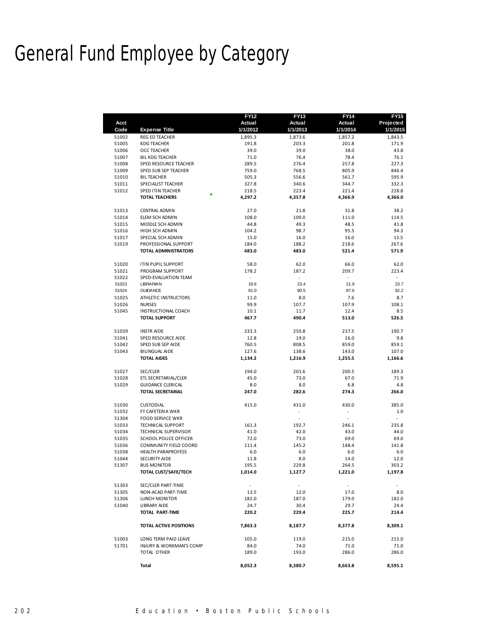## General Fund Employee by Category

| <b>Expense Title</b><br>1/1/2012<br>1/1/2013<br>1/1/2014<br>1/1/2015<br>Code<br><b>REG ED TEACHER</b><br>1,895.3<br>51002<br>1,873.6<br>1,857.2<br>1,843.5<br>51005<br><b>KDG TEACHER</b><br>191.8<br>203.3<br>201.8<br>171.9<br>51006<br>39.0<br>39.0<br>38.0<br>43.8<br>OCC TEACHER<br>51007<br>76.4<br>78.4<br>76.1<br><b>BIL KDG TEACHER</b><br>71.0<br>51008<br>SPED RESOURCE TEACHER<br>289.5<br>276.4<br>257.8<br>227.3<br>51009<br>SPED SUB SEP TEACHER<br>759.0<br>768.5<br>805.9<br>846.4<br>51010<br>505.3<br>556.6<br>561.7<br>595.9<br><b>BILTEACHER</b><br>51011<br>327.8<br>340.6<br>344.7<br>332.3<br>SPECIALIST TEACHER<br>51012<br>SPED ITIN TEACHER<br>218.5<br>223.4<br>221.4<br>228.8<br>r.<br>4,366.9<br>4,366.0<br><b>TOTAL TEACHERS</b><br>4,297.2<br>4,357.8<br>51013<br><b>CENTRAL ADMIN</b><br>27.0<br>21.8<br>31.8<br>38.2<br>51014<br>108.0<br>109.0<br>111.0<br>114.5<br>ELEM SCH ADMIN<br>49.3<br>48.5<br>51015<br>MIDDLE SCH ADMIN<br>44.8<br>41.8<br>51016<br>HIGH SCH ADMIN<br>104.2<br>98.7<br>95.5<br>94.3<br>51017<br>15.0<br>SPECIAL SCH ADMIN<br>16.0<br>16.0<br>15.5<br>51019<br>PROFESSIONAL SUPPORT<br>184.0<br>188.2<br>218.6<br>267.6<br><b>TOTAL ADMINISTRATORS</b><br>483.0<br>483.0<br>521.4<br>571.9<br><b>ITIN PUPIL SUPPORT</b><br>51020<br>58.0<br>62.0<br>66.0<br>62.0<br>51021<br>PROGRAM SUPPORT<br>178.2<br>187.2<br>209.7<br>223.4<br>$\overline{\phantom{a}}$<br>$\omega$<br>51022<br>$\overline{\phantom{a}}$<br>$\overline{\phantom{a}}$<br>SPED-EVALUATION TEAM<br>51023<br>19.6<br>23.4<br>21.9<br>23.7<br><b>LIBRARIAN</b><br>51024<br><b>GUIDANCE</b><br>91.0<br>90.5<br>87.6<br>92.2<br>ATHLETIC INSTRUCTORS<br>8.0<br>7.6<br>8.7<br>51025<br>11.0<br>99.9<br>51026<br><b>NURSES</b><br>107.7<br>107.9<br>108.1<br>51045<br>12.4<br>8.5<br>INSTRUCTIONAL COACH<br>10.1<br>11.7<br><b>TOTAL SUPPORT</b><br>490.4<br>467.7<br>513.0<br>526.5<br>233.3<br>250.8<br>190.7<br>51039<br><b>INSTRAIDE</b><br>237.5<br>51041<br>12.8<br>19.0<br>16.0<br>9.8<br>SPED RESOURCE AIDE<br>760.5<br>808.5<br>859.0<br>51042<br>SPED SUB SEP AIDE<br>859.1<br>127.6<br>143.0<br>107.0<br>51043<br>BILINGUAL AIDE<br>138.6<br><b>TOTAL AIDES</b><br>1,134.2<br>1,216.9<br>1,255.5<br>1,166.6<br>51027<br>SEC/CLER<br>194.0<br>201.6<br>200.5<br>189.3<br>51028<br>ETL SECRETARIAL/CLER<br>45.0<br>73.0<br>67.0<br>71.9<br>51029<br><b>GUIDANCE CLERICAL</b><br>8.0<br>8.0<br>6.8<br>4.8<br><b>TOTAL SECRETARIAL</b><br>247.0<br>282.6<br>274.3<br>266.0<br>51030<br><b>CUSTODIAL</b><br>431.0<br>430.0<br>385.0<br>415.0<br>1.0<br>51032<br>FT CAFETERIA WKR<br>$\sim$<br>$\sim$<br>51304<br><b>FOOD SERVICE WKR</b><br>ä,<br>51033<br><b>TECHNICAL SUPPORT</b><br>161.3<br>192.7<br>246.1<br>235.8<br>41.0<br>42.0<br>44.0<br>51034<br><b>TECHNICAL SUPERVISOR</b><br>43.0<br>51035<br>SCHOOL POLICE OFFICER<br>72.0<br>73.0<br>69.0<br>69.0<br>51036<br>145.2<br>148.4<br>141.8<br><b>COMMUNITY FIELD COORD</b><br>111.4<br>6.0<br>6.0<br>6.0<br>51038<br><b>HEALTH PARAPROFESS</b><br>6.0<br>SECURITY AIDE<br>8.0<br>51044<br>11.8<br>14.0<br>12.0<br>195.5<br>229.8<br>264.5<br>51307<br><b>BUS MONITOR</b><br>303.2<br>TOTAL CUST/SAFE/TECH<br>1,014.0<br>1,127.7<br>1,221.0<br>1,197.8<br>51303<br>SEC/CLER PART-TIME<br>$\overline{\phantom{a}}$<br>51305<br>NON-ACAD PART-TIME<br>13.5<br>12.0<br>17.0<br>8.0<br>51306<br>LUNCH MONITOR<br>182.0<br>187.0<br>179.0<br>182.0<br>51040<br><b>LIBRARY AIDE</b><br>24.7<br>30.4<br>29.7<br>24.4<br>TOTAL PART-TIME<br>220.2<br>229.4<br>225.7<br>214.4<br>TOTAL ACTIVE POSITIONS<br>7,863.3<br>8,187.7<br>8,377.8<br>8,309.1<br>51003<br>LONG TERM PAID LEAVE<br>105.0<br>119.0<br>215.0<br>215.0<br>51701<br>74.0<br>INJURY & WORKMAN'S COMP<br>84.0<br>71.0<br>71.0<br>TOTAL OTHER<br>189.0<br>193.0<br>286.0<br>286.0<br>Total<br>8,052.3<br>8,380.7<br>8,663.8<br>8,595.1 | Acct | <b>FY12</b><br>Actual | <b>FY13</b><br>Actual | <b>FY14</b><br>Actual | FY15<br>Projected |
|-----------------------------------------------------------------------------------------------------------------------------------------------------------------------------------------------------------------------------------------------------------------------------------------------------------------------------------------------------------------------------------------------------------------------------------------------------------------------------------------------------------------------------------------------------------------------------------------------------------------------------------------------------------------------------------------------------------------------------------------------------------------------------------------------------------------------------------------------------------------------------------------------------------------------------------------------------------------------------------------------------------------------------------------------------------------------------------------------------------------------------------------------------------------------------------------------------------------------------------------------------------------------------------------------------------------------------------------------------------------------------------------------------------------------------------------------------------------------------------------------------------------------------------------------------------------------------------------------------------------------------------------------------------------------------------------------------------------------------------------------------------------------------------------------------------------------------------------------------------------------------------------------------------------------------------------------------------------------------------------------------------------------------------------------------------------------------------------------------------------------------------------------------------------------------------------------------------------------------------------------------------------------------------------------------------------------------------------------------------------------------------------------------------------------------------------------------------------------------------------------------------------------------------------------------------------------------------------------------------------------------------------------------------------------------------------------------------------------------------------------------------------------------------------------------------------------------------------------------------------------------------------------------------------------------------------------------------------------------------------------------------------------------------------------------------------------------------------------------------------------------------------------------------------------------------------------------------------------------------------------------------------------------------------------------------------------------------------------------------------------------------------------------------------------------------------------------------------------------------------------------------------------------------------------------------------------------------------------------------------------------------------------------------------------------------------------------------------------------------------------------------------------------------------------------------------------------------------------------------------------------------|------|-----------------------|-----------------------|-----------------------|-------------------|
|                                                                                                                                                                                                                                                                                                                                                                                                                                                                                                                                                                                                                                                                                                                                                                                                                                                                                                                                                                                                                                                                                                                                                                                                                                                                                                                                                                                                                                                                                                                                                                                                                                                                                                                                                                                                                                                                                                                                                                                                                                                                                                                                                                                                                                                                                                                                                                                                                                                                                                                                                                                                                                                                                                                                                                                                                                                                                                                                                                                                                                                                                                                                                                                                                                                                                                                                                                                                                                                                                                                                                                                                                                                                                                                                                                                                                                                                                   |      |                       |                       |                       |                   |
|                                                                                                                                                                                                                                                                                                                                                                                                                                                                                                                                                                                                                                                                                                                                                                                                                                                                                                                                                                                                                                                                                                                                                                                                                                                                                                                                                                                                                                                                                                                                                                                                                                                                                                                                                                                                                                                                                                                                                                                                                                                                                                                                                                                                                                                                                                                                                                                                                                                                                                                                                                                                                                                                                                                                                                                                                                                                                                                                                                                                                                                                                                                                                                                                                                                                                                                                                                                                                                                                                                                                                                                                                                                                                                                                                                                                                                                                                   |      |                       |                       |                       |                   |
|                                                                                                                                                                                                                                                                                                                                                                                                                                                                                                                                                                                                                                                                                                                                                                                                                                                                                                                                                                                                                                                                                                                                                                                                                                                                                                                                                                                                                                                                                                                                                                                                                                                                                                                                                                                                                                                                                                                                                                                                                                                                                                                                                                                                                                                                                                                                                                                                                                                                                                                                                                                                                                                                                                                                                                                                                                                                                                                                                                                                                                                                                                                                                                                                                                                                                                                                                                                                                                                                                                                                                                                                                                                                                                                                                                                                                                                                                   |      |                       |                       |                       |                   |
|                                                                                                                                                                                                                                                                                                                                                                                                                                                                                                                                                                                                                                                                                                                                                                                                                                                                                                                                                                                                                                                                                                                                                                                                                                                                                                                                                                                                                                                                                                                                                                                                                                                                                                                                                                                                                                                                                                                                                                                                                                                                                                                                                                                                                                                                                                                                                                                                                                                                                                                                                                                                                                                                                                                                                                                                                                                                                                                                                                                                                                                                                                                                                                                                                                                                                                                                                                                                                                                                                                                                                                                                                                                                                                                                                                                                                                                                                   |      |                       |                       |                       |                   |
|                                                                                                                                                                                                                                                                                                                                                                                                                                                                                                                                                                                                                                                                                                                                                                                                                                                                                                                                                                                                                                                                                                                                                                                                                                                                                                                                                                                                                                                                                                                                                                                                                                                                                                                                                                                                                                                                                                                                                                                                                                                                                                                                                                                                                                                                                                                                                                                                                                                                                                                                                                                                                                                                                                                                                                                                                                                                                                                                                                                                                                                                                                                                                                                                                                                                                                                                                                                                                                                                                                                                                                                                                                                                                                                                                                                                                                                                                   |      |                       |                       |                       |                   |
|                                                                                                                                                                                                                                                                                                                                                                                                                                                                                                                                                                                                                                                                                                                                                                                                                                                                                                                                                                                                                                                                                                                                                                                                                                                                                                                                                                                                                                                                                                                                                                                                                                                                                                                                                                                                                                                                                                                                                                                                                                                                                                                                                                                                                                                                                                                                                                                                                                                                                                                                                                                                                                                                                                                                                                                                                                                                                                                                                                                                                                                                                                                                                                                                                                                                                                                                                                                                                                                                                                                                                                                                                                                                                                                                                                                                                                                                                   |      |                       |                       |                       |                   |
|                                                                                                                                                                                                                                                                                                                                                                                                                                                                                                                                                                                                                                                                                                                                                                                                                                                                                                                                                                                                                                                                                                                                                                                                                                                                                                                                                                                                                                                                                                                                                                                                                                                                                                                                                                                                                                                                                                                                                                                                                                                                                                                                                                                                                                                                                                                                                                                                                                                                                                                                                                                                                                                                                                                                                                                                                                                                                                                                                                                                                                                                                                                                                                                                                                                                                                                                                                                                                                                                                                                                                                                                                                                                                                                                                                                                                                                                                   |      |                       |                       |                       |                   |
|                                                                                                                                                                                                                                                                                                                                                                                                                                                                                                                                                                                                                                                                                                                                                                                                                                                                                                                                                                                                                                                                                                                                                                                                                                                                                                                                                                                                                                                                                                                                                                                                                                                                                                                                                                                                                                                                                                                                                                                                                                                                                                                                                                                                                                                                                                                                                                                                                                                                                                                                                                                                                                                                                                                                                                                                                                                                                                                                                                                                                                                                                                                                                                                                                                                                                                                                                                                                                                                                                                                                                                                                                                                                                                                                                                                                                                                                                   |      |                       |                       |                       |                   |
|                                                                                                                                                                                                                                                                                                                                                                                                                                                                                                                                                                                                                                                                                                                                                                                                                                                                                                                                                                                                                                                                                                                                                                                                                                                                                                                                                                                                                                                                                                                                                                                                                                                                                                                                                                                                                                                                                                                                                                                                                                                                                                                                                                                                                                                                                                                                                                                                                                                                                                                                                                                                                                                                                                                                                                                                                                                                                                                                                                                                                                                                                                                                                                                                                                                                                                                                                                                                                                                                                                                                                                                                                                                                                                                                                                                                                                                                                   |      |                       |                       |                       |                   |
|                                                                                                                                                                                                                                                                                                                                                                                                                                                                                                                                                                                                                                                                                                                                                                                                                                                                                                                                                                                                                                                                                                                                                                                                                                                                                                                                                                                                                                                                                                                                                                                                                                                                                                                                                                                                                                                                                                                                                                                                                                                                                                                                                                                                                                                                                                                                                                                                                                                                                                                                                                                                                                                                                                                                                                                                                                                                                                                                                                                                                                                                                                                                                                                                                                                                                                                                                                                                                                                                                                                                                                                                                                                                                                                                                                                                                                                                                   |      |                       |                       |                       |                   |
|                                                                                                                                                                                                                                                                                                                                                                                                                                                                                                                                                                                                                                                                                                                                                                                                                                                                                                                                                                                                                                                                                                                                                                                                                                                                                                                                                                                                                                                                                                                                                                                                                                                                                                                                                                                                                                                                                                                                                                                                                                                                                                                                                                                                                                                                                                                                                                                                                                                                                                                                                                                                                                                                                                                                                                                                                                                                                                                                                                                                                                                                                                                                                                                                                                                                                                                                                                                                                                                                                                                                                                                                                                                                                                                                                                                                                                                                                   |      |                       |                       |                       |                   |
|                                                                                                                                                                                                                                                                                                                                                                                                                                                                                                                                                                                                                                                                                                                                                                                                                                                                                                                                                                                                                                                                                                                                                                                                                                                                                                                                                                                                                                                                                                                                                                                                                                                                                                                                                                                                                                                                                                                                                                                                                                                                                                                                                                                                                                                                                                                                                                                                                                                                                                                                                                                                                                                                                                                                                                                                                                                                                                                                                                                                                                                                                                                                                                                                                                                                                                                                                                                                                                                                                                                                                                                                                                                                                                                                                                                                                                                                                   |      |                       |                       |                       |                   |
|                                                                                                                                                                                                                                                                                                                                                                                                                                                                                                                                                                                                                                                                                                                                                                                                                                                                                                                                                                                                                                                                                                                                                                                                                                                                                                                                                                                                                                                                                                                                                                                                                                                                                                                                                                                                                                                                                                                                                                                                                                                                                                                                                                                                                                                                                                                                                                                                                                                                                                                                                                                                                                                                                                                                                                                                                                                                                                                                                                                                                                                                                                                                                                                                                                                                                                                                                                                                                                                                                                                                                                                                                                                                                                                                                                                                                                                                                   |      |                       |                       |                       |                   |
|                                                                                                                                                                                                                                                                                                                                                                                                                                                                                                                                                                                                                                                                                                                                                                                                                                                                                                                                                                                                                                                                                                                                                                                                                                                                                                                                                                                                                                                                                                                                                                                                                                                                                                                                                                                                                                                                                                                                                                                                                                                                                                                                                                                                                                                                                                                                                                                                                                                                                                                                                                                                                                                                                                                                                                                                                                                                                                                                                                                                                                                                                                                                                                                                                                                                                                                                                                                                                                                                                                                                                                                                                                                                                                                                                                                                                                                                                   |      |                       |                       |                       |                   |
|                                                                                                                                                                                                                                                                                                                                                                                                                                                                                                                                                                                                                                                                                                                                                                                                                                                                                                                                                                                                                                                                                                                                                                                                                                                                                                                                                                                                                                                                                                                                                                                                                                                                                                                                                                                                                                                                                                                                                                                                                                                                                                                                                                                                                                                                                                                                                                                                                                                                                                                                                                                                                                                                                                                                                                                                                                                                                                                                                                                                                                                                                                                                                                                                                                                                                                                                                                                                                                                                                                                                                                                                                                                                                                                                                                                                                                                                                   |      |                       |                       |                       |                   |
|                                                                                                                                                                                                                                                                                                                                                                                                                                                                                                                                                                                                                                                                                                                                                                                                                                                                                                                                                                                                                                                                                                                                                                                                                                                                                                                                                                                                                                                                                                                                                                                                                                                                                                                                                                                                                                                                                                                                                                                                                                                                                                                                                                                                                                                                                                                                                                                                                                                                                                                                                                                                                                                                                                                                                                                                                                                                                                                                                                                                                                                                                                                                                                                                                                                                                                                                                                                                                                                                                                                                                                                                                                                                                                                                                                                                                                                                                   |      |                       |                       |                       |                   |
|                                                                                                                                                                                                                                                                                                                                                                                                                                                                                                                                                                                                                                                                                                                                                                                                                                                                                                                                                                                                                                                                                                                                                                                                                                                                                                                                                                                                                                                                                                                                                                                                                                                                                                                                                                                                                                                                                                                                                                                                                                                                                                                                                                                                                                                                                                                                                                                                                                                                                                                                                                                                                                                                                                                                                                                                                                                                                                                                                                                                                                                                                                                                                                                                                                                                                                                                                                                                                                                                                                                                                                                                                                                                                                                                                                                                                                                                                   |      |                       |                       |                       |                   |
|                                                                                                                                                                                                                                                                                                                                                                                                                                                                                                                                                                                                                                                                                                                                                                                                                                                                                                                                                                                                                                                                                                                                                                                                                                                                                                                                                                                                                                                                                                                                                                                                                                                                                                                                                                                                                                                                                                                                                                                                                                                                                                                                                                                                                                                                                                                                                                                                                                                                                                                                                                                                                                                                                                                                                                                                                                                                                                                                                                                                                                                                                                                                                                                                                                                                                                                                                                                                                                                                                                                                                                                                                                                                                                                                                                                                                                                                                   |      |                       |                       |                       |                   |
|                                                                                                                                                                                                                                                                                                                                                                                                                                                                                                                                                                                                                                                                                                                                                                                                                                                                                                                                                                                                                                                                                                                                                                                                                                                                                                                                                                                                                                                                                                                                                                                                                                                                                                                                                                                                                                                                                                                                                                                                                                                                                                                                                                                                                                                                                                                                                                                                                                                                                                                                                                                                                                                                                                                                                                                                                                                                                                                                                                                                                                                                                                                                                                                                                                                                                                                                                                                                                                                                                                                                                                                                                                                                                                                                                                                                                                                                                   |      |                       |                       |                       |                   |
|                                                                                                                                                                                                                                                                                                                                                                                                                                                                                                                                                                                                                                                                                                                                                                                                                                                                                                                                                                                                                                                                                                                                                                                                                                                                                                                                                                                                                                                                                                                                                                                                                                                                                                                                                                                                                                                                                                                                                                                                                                                                                                                                                                                                                                                                                                                                                                                                                                                                                                                                                                                                                                                                                                                                                                                                                                                                                                                                                                                                                                                                                                                                                                                                                                                                                                                                                                                                                                                                                                                                                                                                                                                                                                                                                                                                                                                                                   |      |                       |                       |                       |                   |
|                                                                                                                                                                                                                                                                                                                                                                                                                                                                                                                                                                                                                                                                                                                                                                                                                                                                                                                                                                                                                                                                                                                                                                                                                                                                                                                                                                                                                                                                                                                                                                                                                                                                                                                                                                                                                                                                                                                                                                                                                                                                                                                                                                                                                                                                                                                                                                                                                                                                                                                                                                                                                                                                                                                                                                                                                                                                                                                                                                                                                                                                                                                                                                                                                                                                                                                                                                                                                                                                                                                                                                                                                                                                                                                                                                                                                                                                                   |      |                       |                       |                       |                   |
|                                                                                                                                                                                                                                                                                                                                                                                                                                                                                                                                                                                                                                                                                                                                                                                                                                                                                                                                                                                                                                                                                                                                                                                                                                                                                                                                                                                                                                                                                                                                                                                                                                                                                                                                                                                                                                                                                                                                                                                                                                                                                                                                                                                                                                                                                                                                                                                                                                                                                                                                                                                                                                                                                                                                                                                                                                                                                                                                                                                                                                                                                                                                                                                                                                                                                                                                                                                                                                                                                                                                                                                                                                                                                                                                                                                                                                                                                   |      |                       |                       |                       |                   |
|                                                                                                                                                                                                                                                                                                                                                                                                                                                                                                                                                                                                                                                                                                                                                                                                                                                                                                                                                                                                                                                                                                                                                                                                                                                                                                                                                                                                                                                                                                                                                                                                                                                                                                                                                                                                                                                                                                                                                                                                                                                                                                                                                                                                                                                                                                                                                                                                                                                                                                                                                                                                                                                                                                                                                                                                                                                                                                                                                                                                                                                                                                                                                                                                                                                                                                                                                                                                                                                                                                                                                                                                                                                                                                                                                                                                                                                                                   |      |                       |                       |                       |                   |
|                                                                                                                                                                                                                                                                                                                                                                                                                                                                                                                                                                                                                                                                                                                                                                                                                                                                                                                                                                                                                                                                                                                                                                                                                                                                                                                                                                                                                                                                                                                                                                                                                                                                                                                                                                                                                                                                                                                                                                                                                                                                                                                                                                                                                                                                                                                                                                                                                                                                                                                                                                                                                                                                                                                                                                                                                                                                                                                                                                                                                                                                                                                                                                                                                                                                                                                                                                                                                                                                                                                                                                                                                                                                                                                                                                                                                                                                                   |      |                       |                       |                       |                   |
|                                                                                                                                                                                                                                                                                                                                                                                                                                                                                                                                                                                                                                                                                                                                                                                                                                                                                                                                                                                                                                                                                                                                                                                                                                                                                                                                                                                                                                                                                                                                                                                                                                                                                                                                                                                                                                                                                                                                                                                                                                                                                                                                                                                                                                                                                                                                                                                                                                                                                                                                                                                                                                                                                                                                                                                                                                                                                                                                                                                                                                                                                                                                                                                                                                                                                                                                                                                                                                                                                                                                                                                                                                                                                                                                                                                                                                                                                   |      |                       |                       |                       |                   |
|                                                                                                                                                                                                                                                                                                                                                                                                                                                                                                                                                                                                                                                                                                                                                                                                                                                                                                                                                                                                                                                                                                                                                                                                                                                                                                                                                                                                                                                                                                                                                                                                                                                                                                                                                                                                                                                                                                                                                                                                                                                                                                                                                                                                                                                                                                                                                                                                                                                                                                                                                                                                                                                                                                                                                                                                                                                                                                                                                                                                                                                                                                                                                                                                                                                                                                                                                                                                                                                                                                                                                                                                                                                                                                                                                                                                                                                                                   |      |                       |                       |                       |                   |
|                                                                                                                                                                                                                                                                                                                                                                                                                                                                                                                                                                                                                                                                                                                                                                                                                                                                                                                                                                                                                                                                                                                                                                                                                                                                                                                                                                                                                                                                                                                                                                                                                                                                                                                                                                                                                                                                                                                                                                                                                                                                                                                                                                                                                                                                                                                                                                                                                                                                                                                                                                                                                                                                                                                                                                                                                                                                                                                                                                                                                                                                                                                                                                                                                                                                                                                                                                                                                                                                                                                                                                                                                                                                                                                                                                                                                                                                                   |      |                       |                       |                       |                   |
|                                                                                                                                                                                                                                                                                                                                                                                                                                                                                                                                                                                                                                                                                                                                                                                                                                                                                                                                                                                                                                                                                                                                                                                                                                                                                                                                                                                                                                                                                                                                                                                                                                                                                                                                                                                                                                                                                                                                                                                                                                                                                                                                                                                                                                                                                                                                                                                                                                                                                                                                                                                                                                                                                                                                                                                                                                                                                                                                                                                                                                                                                                                                                                                                                                                                                                                                                                                                                                                                                                                                                                                                                                                                                                                                                                                                                                                                                   |      |                       |                       |                       |                   |
|                                                                                                                                                                                                                                                                                                                                                                                                                                                                                                                                                                                                                                                                                                                                                                                                                                                                                                                                                                                                                                                                                                                                                                                                                                                                                                                                                                                                                                                                                                                                                                                                                                                                                                                                                                                                                                                                                                                                                                                                                                                                                                                                                                                                                                                                                                                                                                                                                                                                                                                                                                                                                                                                                                                                                                                                                                                                                                                                                                                                                                                                                                                                                                                                                                                                                                                                                                                                                                                                                                                                                                                                                                                                                                                                                                                                                                                                                   |      |                       |                       |                       |                   |
|                                                                                                                                                                                                                                                                                                                                                                                                                                                                                                                                                                                                                                                                                                                                                                                                                                                                                                                                                                                                                                                                                                                                                                                                                                                                                                                                                                                                                                                                                                                                                                                                                                                                                                                                                                                                                                                                                                                                                                                                                                                                                                                                                                                                                                                                                                                                                                                                                                                                                                                                                                                                                                                                                                                                                                                                                                                                                                                                                                                                                                                                                                                                                                                                                                                                                                                                                                                                                                                                                                                                                                                                                                                                                                                                                                                                                                                                                   |      |                       |                       |                       |                   |
|                                                                                                                                                                                                                                                                                                                                                                                                                                                                                                                                                                                                                                                                                                                                                                                                                                                                                                                                                                                                                                                                                                                                                                                                                                                                                                                                                                                                                                                                                                                                                                                                                                                                                                                                                                                                                                                                                                                                                                                                                                                                                                                                                                                                                                                                                                                                                                                                                                                                                                                                                                                                                                                                                                                                                                                                                                                                                                                                                                                                                                                                                                                                                                                                                                                                                                                                                                                                                                                                                                                                                                                                                                                                                                                                                                                                                                                                                   |      |                       |                       |                       |                   |
|                                                                                                                                                                                                                                                                                                                                                                                                                                                                                                                                                                                                                                                                                                                                                                                                                                                                                                                                                                                                                                                                                                                                                                                                                                                                                                                                                                                                                                                                                                                                                                                                                                                                                                                                                                                                                                                                                                                                                                                                                                                                                                                                                                                                                                                                                                                                                                                                                                                                                                                                                                                                                                                                                                                                                                                                                                                                                                                                                                                                                                                                                                                                                                                                                                                                                                                                                                                                                                                                                                                                                                                                                                                                                                                                                                                                                                                                                   |      |                       |                       |                       |                   |
|                                                                                                                                                                                                                                                                                                                                                                                                                                                                                                                                                                                                                                                                                                                                                                                                                                                                                                                                                                                                                                                                                                                                                                                                                                                                                                                                                                                                                                                                                                                                                                                                                                                                                                                                                                                                                                                                                                                                                                                                                                                                                                                                                                                                                                                                                                                                                                                                                                                                                                                                                                                                                                                                                                                                                                                                                                                                                                                                                                                                                                                                                                                                                                                                                                                                                                                                                                                                                                                                                                                                                                                                                                                                                                                                                                                                                                                                                   |      |                       |                       |                       |                   |
|                                                                                                                                                                                                                                                                                                                                                                                                                                                                                                                                                                                                                                                                                                                                                                                                                                                                                                                                                                                                                                                                                                                                                                                                                                                                                                                                                                                                                                                                                                                                                                                                                                                                                                                                                                                                                                                                                                                                                                                                                                                                                                                                                                                                                                                                                                                                                                                                                                                                                                                                                                                                                                                                                                                                                                                                                                                                                                                                                                                                                                                                                                                                                                                                                                                                                                                                                                                                                                                                                                                                                                                                                                                                                                                                                                                                                                                                                   |      |                       |                       |                       |                   |
|                                                                                                                                                                                                                                                                                                                                                                                                                                                                                                                                                                                                                                                                                                                                                                                                                                                                                                                                                                                                                                                                                                                                                                                                                                                                                                                                                                                                                                                                                                                                                                                                                                                                                                                                                                                                                                                                                                                                                                                                                                                                                                                                                                                                                                                                                                                                                                                                                                                                                                                                                                                                                                                                                                                                                                                                                                                                                                                                                                                                                                                                                                                                                                                                                                                                                                                                                                                                                                                                                                                                                                                                                                                                                                                                                                                                                                                                                   |      |                       |                       |                       |                   |
|                                                                                                                                                                                                                                                                                                                                                                                                                                                                                                                                                                                                                                                                                                                                                                                                                                                                                                                                                                                                                                                                                                                                                                                                                                                                                                                                                                                                                                                                                                                                                                                                                                                                                                                                                                                                                                                                                                                                                                                                                                                                                                                                                                                                                                                                                                                                                                                                                                                                                                                                                                                                                                                                                                                                                                                                                                                                                                                                                                                                                                                                                                                                                                                                                                                                                                                                                                                                                                                                                                                                                                                                                                                                                                                                                                                                                                                                                   |      |                       |                       |                       |                   |
|                                                                                                                                                                                                                                                                                                                                                                                                                                                                                                                                                                                                                                                                                                                                                                                                                                                                                                                                                                                                                                                                                                                                                                                                                                                                                                                                                                                                                                                                                                                                                                                                                                                                                                                                                                                                                                                                                                                                                                                                                                                                                                                                                                                                                                                                                                                                                                                                                                                                                                                                                                                                                                                                                                                                                                                                                                                                                                                                                                                                                                                                                                                                                                                                                                                                                                                                                                                                                                                                                                                                                                                                                                                                                                                                                                                                                                                                                   |      |                       |                       |                       |                   |
|                                                                                                                                                                                                                                                                                                                                                                                                                                                                                                                                                                                                                                                                                                                                                                                                                                                                                                                                                                                                                                                                                                                                                                                                                                                                                                                                                                                                                                                                                                                                                                                                                                                                                                                                                                                                                                                                                                                                                                                                                                                                                                                                                                                                                                                                                                                                                                                                                                                                                                                                                                                                                                                                                                                                                                                                                                                                                                                                                                                                                                                                                                                                                                                                                                                                                                                                                                                                                                                                                                                                                                                                                                                                                                                                                                                                                                                                                   |      |                       |                       |                       |                   |
|                                                                                                                                                                                                                                                                                                                                                                                                                                                                                                                                                                                                                                                                                                                                                                                                                                                                                                                                                                                                                                                                                                                                                                                                                                                                                                                                                                                                                                                                                                                                                                                                                                                                                                                                                                                                                                                                                                                                                                                                                                                                                                                                                                                                                                                                                                                                                                                                                                                                                                                                                                                                                                                                                                                                                                                                                                                                                                                                                                                                                                                                                                                                                                                                                                                                                                                                                                                                                                                                                                                                                                                                                                                                                                                                                                                                                                                                                   |      |                       |                       |                       |                   |
|                                                                                                                                                                                                                                                                                                                                                                                                                                                                                                                                                                                                                                                                                                                                                                                                                                                                                                                                                                                                                                                                                                                                                                                                                                                                                                                                                                                                                                                                                                                                                                                                                                                                                                                                                                                                                                                                                                                                                                                                                                                                                                                                                                                                                                                                                                                                                                                                                                                                                                                                                                                                                                                                                                                                                                                                                                                                                                                                                                                                                                                                                                                                                                                                                                                                                                                                                                                                                                                                                                                                                                                                                                                                                                                                                                                                                                                                                   |      |                       |                       |                       |                   |
|                                                                                                                                                                                                                                                                                                                                                                                                                                                                                                                                                                                                                                                                                                                                                                                                                                                                                                                                                                                                                                                                                                                                                                                                                                                                                                                                                                                                                                                                                                                                                                                                                                                                                                                                                                                                                                                                                                                                                                                                                                                                                                                                                                                                                                                                                                                                                                                                                                                                                                                                                                                                                                                                                                                                                                                                                                                                                                                                                                                                                                                                                                                                                                                                                                                                                                                                                                                                                                                                                                                                                                                                                                                                                                                                                                                                                                                                                   |      |                       |                       |                       |                   |
|                                                                                                                                                                                                                                                                                                                                                                                                                                                                                                                                                                                                                                                                                                                                                                                                                                                                                                                                                                                                                                                                                                                                                                                                                                                                                                                                                                                                                                                                                                                                                                                                                                                                                                                                                                                                                                                                                                                                                                                                                                                                                                                                                                                                                                                                                                                                                                                                                                                                                                                                                                                                                                                                                                                                                                                                                                                                                                                                                                                                                                                                                                                                                                                                                                                                                                                                                                                                                                                                                                                                                                                                                                                                                                                                                                                                                                                                                   |      |                       |                       |                       |                   |
|                                                                                                                                                                                                                                                                                                                                                                                                                                                                                                                                                                                                                                                                                                                                                                                                                                                                                                                                                                                                                                                                                                                                                                                                                                                                                                                                                                                                                                                                                                                                                                                                                                                                                                                                                                                                                                                                                                                                                                                                                                                                                                                                                                                                                                                                                                                                                                                                                                                                                                                                                                                                                                                                                                                                                                                                                                                                                                                                                                                                                                                                                                                                                                                                                                                                                                                                                                                                                                                                                                                                                                                                                                                                                                                                                                                                                                                                                   |      |                       |                       |                       |                   |
|                                                                                                                                                                                                                                                                                                                                                                                                                                                                                                                                                                                                                                                                                                                                                                                                                                                                                                                                                                                                                                                                                                                                                                                                                                                                                                                                                                                                                                                                                                                                                                                                                                                                                                                                                                                                                                                                                                                                                                                                                                                                                                                                                                                                                                                                                                                                                                                                                                                                                                                                                                                                                                                                                                                                                                                                                                                                                                                                                                                                                                                                                                                                                                                                                                                                                                                                                                                                                                                                                                                                                                                                                                                                                                                                                                                                                                                                                   |      |                       |                       |                       |                   |
|                                                                                                                                                                                                                                                                                                                                                                                                                                                                                                                                                                                                                                                                                                                                                                                                                                                                                                                                                                                                                                                                                                                                                                                                                                                                                                                                                                                                                                                                                                                                                                                                                                                                                                                                                                                                                                                                                                                                                                                                                                                                                                                                                                                                                                                                                                                                                                                                                                                                                                                                                                                                                                                                                                                                                                                                                                                                                                                                                                                                                                                                                                                                                                                                                                                                                                                                                                                                                                                                                                                                                                                                                                                                                                                                                                                                                                                                                   |      |                       |                       |                       |                   |
|                                                                                                                                                                                                                                                                                                                                                                                                                                                                                                                                                                                                                                                                                                                                                                                                                                                                                                                                                                                                                                                                                                                                                                                                                                                                                                                                                                                                                                                                                                                                                                                                                                                                                                                                                                                                                                                                                                                                                                                                                                                                                                                                                                                                                                                                                                                                                                                                                                                                                                                                                                                                                                                                                                                                                                                                                                                                                                                                                                                                                                                                                                                                                                                                                                                                                                                                                                                                                                                                                                                                                                                                                                                                                                                                                                                                                                                                                   |      |                       |                       |                       |                   |
|                                                                                                                                                                                                                                                                                                                                                                                                                                                                                                                                                                                                                                                                                                                                                                                                                                                                                                                                                                                                                                                                                                                                                                                                                                                                                                                                                                                                                                                                                                                                                                                                                                                                                                                                                                                                                                                                                                                                                                                                                                                                                                                                                                                                                                                                                                                                                                                                                                                                                                                                                                                                                                                                                                                                                                                                                                                                                                                                                                                                                                                                                                                                                                                                                                                                                                                                                                                                                                                                                                                                                                                                                                                                                                                                                                                                                                                                                   |      |                       |                       |                       |                   |
|                                                                                                                                                                                                                                                                                                                                                                                                                                                                                                                                                                                                                                                                                                                                                                                                                                                                                                                                                                                                                                                                                                                                                                                                                                                                                                                                                                                                                                                                                                                                                                                                                                                                                                                                                                                                                                                                                                                                                                                                                                                                                                                                                                                                                                                                                                                                                                                                                                                                                                                                                                                                                                                                                                                                                                                                                                                                                                                                                                                                                                                                                                                                                                                                                                                                                                                                                                                                                                                                                                                                                                                                                                                                                                                                                                                                                                                                                   |      |                       |                       |                       |                   |
|                                                                                                                                                                                                                                                                                                                                                                                                                                                                                                                                                                                                                                                                                                                                                                                                                                                                                                                                                                                                                                                                                                                                                                                                                                                                                                                                                                                                                                                                                                                                                                                                                                                                                                                                                                                                                                                                                                                                                                                                                                                                                                                                                                                                                                                                                                                                                                                                                                                                                                                                                                                                                                                                                                                                                                                                                                                                                                                                                                                                                                                                                                                                                                                                                                                                                                                                                                                                                                                                                                                                                                                                                                                                                                                                                                                                                                                                                   |      |                       |                       |                       |                   |
|                                                                                                                                                                                                                                                                                                                                                                                                                                                                                                                                                                                                                                                                                                                                                                                                                                                                                                                                                                                                                                                                                                                                                                                                                                                                                                                                                                                                                                                                                                                                                                                                                                                                                                                                                                                                                                                                                                                                                                                                                                                                                                                                                                                                                                                                                                                                                                                                                                                                                                                                                                                                                                                                                                                                                                                                                                                                                                                                                                                                                                                                                                                                                                                                                                                                                                                                                                                                                                                                                                                                                                                                                                                                                                                                                                                                                                                                                   |      |                       |                       |                       |                   |
|                                                                                                                                                                                                                                                                                                                                                                                                                                                                                                                                                                                                                                                                                                                                                                                                                                                                                                                                                                                                                                                                                                                                                                                                                                                                                                                                                                                                                                                                                                                                                                                                                                                                                                                                                                                                                                                                                                                                                                                                                                                                                                                                                                                                                                                                                                                                                                                                                                                                                                                                                                                                                                                                                                                                                                                                                                                                                                                                                                                                                                                                                                                                                                                                                                                                                                                                                                                                                                                                                                                                                                                                                                                                                                                                                                                                                                                                                   |      |                       |                       |                       |                   |
|                                                                                                                                                                                                                                                                                                                                                                                                                                                                                                                                                                                                                                                                                                                                                                                                                                                                                                                                                                                                                                                                                                                                                                                                                                                                                                                                                                                                                                                                                                                                                                                                                                                                                                                                                                                                                                                                                                                                                                                                                                                                                                                                                                                                                                                                                                                                                                                                                                                                                                                                                                                                                                                                                                                                                                                                                                                                                                                                                                                                                                                                                                                                                                                                                                                                                                                                                                                                                                                                                                                                                                                                                                                                                                                                                                                                                                                                                   |      |                       |                       |                       |                   |
|                                                                                                                                                                                                                                                                                                                                                                                                                                                                                                                                                                                                                                                                                                                                                                                                                                                                                                                                                                                                                                                                                                                                                                                                                                                                                                                                                                                                                                                                                                                                                                                                                                                                                                                                                                                                                                                                                                                                                                                                                                                                                                                                                                                                                                                                                                                                                                                                                                                                                                                                                                                                                                                                                                                                                                                                                                                                                                                                                                                                                                                                                                                                                                                                                                                                                                                                                                                                                                                                                                                                                                                                                                                                                                                                                                                                                                                                                   |      |                       |                       |                       |                   |
|                                                                                                                                                                                                                                                                                                                                                                                                                                                                                                                                                                                                                                                                                                                                                                                                                                                                                                                                                                                                                                                                                                                                                                                                                                                                                                                                                                                                                                                                                                                                                                                                                                                                                                                                                                                                                                                                                                                                                                                                                                                                                                                                                                                                                                                                                                                                                                                                                                                                                                                                                                                                                                                                                                                                                                                                                                                                                                                                                                                                                                                                                                                                                                                                                                                                                                                                                                                                                                                                                                                                                                                                                                                                                                                                                                                                                                                                                   |      |                       |                       |                       |                   |
|                                                                                                                                                                                                                                                                                                                                                                                                                                                                                                                                                                                                                                                                                                                                                                                                                                                                                                                                                                                                                                                                                                                                                                                                                                                                                                                                                                                                                                                                                                                                                                                                                                                                                                                                                                                                                                                                                                                                                                                                                                                                                                                                                                                                                                                                                                                                                                                                                                                                                                                                                                                                                                                                                                                                                                                                                                                                                                                                                                                                                                                                                                                                                                                                                                                                                                                                                                                                                                                                                                                                                                                                                                                                                                                                                                                                                                                                                   |      |                       |                       |                       |                   |
|                                                                                                                                                                                                                                                                                                                                                                                                                                                                                                                                                                                                                                                                                                                                                                                                                                                                                                                                                                                                                                                                                                                                                                                                                                                                                                                                                                                                                                                                                                                                                                                                                                                                                                                                                                                                                                                                                                                                                                                                                                                                                                                                                                                                                                                                                                                                                                                                                                                                                                                                                                                                                                                                                                                                                                                                                                                                                                                                                                                                                                                                                                                                                                                                                                                                                                                                                                                                                                                                                                                                                                                                                                                                                                                                                                                                                                                                                   |      |                       |                       |                       |                   |
|                                                                                                                                                                                                                                                                                                                                                                                                                                                                                                                                                                                                                                                                                                                                                                                                                                                                                                                                                                                                                                                                                                                                                                                                                                                                                                                                                                                                                                                                                                                                                                                                                                                                                                                                                                                                                                                                                                                                                                                                                                                                                                                                                                                                                                                                                                                                                                                                                                                                                                                                                                                                                                                                                                                                                                                                                                                                                                                                                                                                                                                                                                                                                                                                                                                                                                                                                                                                                                                                                                                                                                                                                                                                                                                                                                                                                                                                                   |      |                       |                       |                       |                   |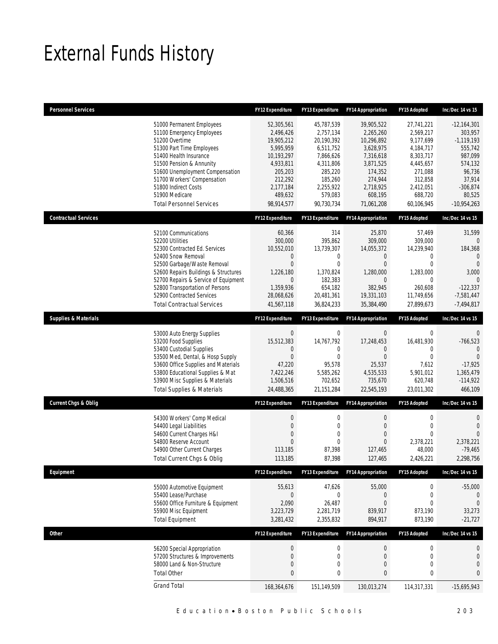# External Funds History

| <b>Personnel Services</b>       |                                                                                                                                                                                                                                                                                                                    | <b>FY12 Expenditure</b>                                                                                                                   | <b>FY13 Expenditure</b>                                                                                                                  | <b>FY14 Appropriation</b>                                                                                                                | FY15 Adopted                                                                                                                            | Inc/Dec 14 vs 15                                                                                                                       |
|---------------------------------|--------------------------------------------------------------------------------------------------------------------------------------------------------------------------------------------------------------------------------------------------------------------------------------------------------------------|-------------------------------------------------------------------------------------------------------------------------------------------|------------------------------------------------------------------------------------------------------------------------------------------|------------------------------------------------------------------------------------------------------------------------------------------|-----------------------------------------------------------------------------------------------------------------------------------------|----------------------------------------------------------------------------------------------------------------------------------------|
|                                 | 51000 Permanent Employees<br>51100 Emergency Employees<br>51200 Overtime<br>51300 Part Time Employees<br>51400 Health Insurance<br>51500 Pension & Annunity<br>51600 Unemployment Compensation<br>51700 Workers' Compensation<br>51800 Indirect Costs<br>51900 Medicare<br><b>Total Personnel Services</b>         | 52,305,561<br>2,496,426<br>19,905,212<br>5,995,959<br>10,193,297<br>4,933,811<br>205,203<br>212,292<br>2,177,184<br>489,632<br>98,914,577 | 45,787,539<br>2,757,134<br>20,190,392<br>6,511,752<br>7,866,626<br>4,311,806<br>285,220<br>185,260<br>2,255,922<br>579,083<br>90.730.734 | 39,905,522<br>2,265,260<br>10,296,892<br>3,628,975<br>7,316,618<br>3,871,525<br>174,352<br>274,944<br>2,718,925<br>608,195<br>71,061,208 | 27,741,221<br>2,569,217<br>9,177,699<br>4,184,717<br>8,303,717<br>4,445,657<br>271,088<br>312,858<br>2,412,051<br>688,720<br>60,106,945 | $-12,164,301$<br>303,957<br>$-1,119,193$<br>555,742<br>987,099<br>574,132<br>96,736<br>37,914<br>$-306,874$<br>80,525<br>$-10,954,263$ |
| <b>Contractual Services</b>     |                                                                                                                                                                                                                                                                                                                    | <b>FY12 Expenditure</b>                                                                                                                   | FY13 Expenditure                                                                                                                         | <b>FY14 Appropriation</b>                                                                                                                | FY15 Adopted                                                                                                                            | Inc/Dec 14 vs 15                                                                                                                       |
|                                 | 52100 Communications<br>52200 Utilities<br>52300 Contracted Ed. Services<br>52400 Snow Removal<br>52500 Garbage/Waste Removal<br>52600 Repairs Buildings & Structures<br>52700 Repairs & Service of Equipment<br>52800 Transportation of Persons<br>52900 Contracted Services<br><b>Total Contractual Services</b> | 60,366<br>300,000<br>10,552,010<br>0<br>$\mathbf{0}$<br>1,226,180<br>$\mathbf 0$<br>1,359,936<br>28,068,626<br>41,567,118                 | 314<br>395,862<br>13,739,307<br>0<br>$\mathbf 0$<br>1,370,824<br>182,383<br>654,182<br>20,481,361<br>36,824,233                          | 25,870<br>309,000<br>14,055,372<br>$\mathbf 0$<br>$\theta$<br>1,280,000<br>$\overline{0}$<br>382,945<br>19,331,103<br>35,384,490         | 57,469<br>309,000<br>14,239,940<br>0<br>$\mathbf 0$<br>1,283,000<br>$\mathbf{0}$<br>260,608<br>11,749,656<br>27,899,673                 | 31,599<br>$\mathbf{0}$<br>184,368<br>$\mathbf 0$<br>$\Omega$<br>3,000<br>$\Omega$<br>$-122,337$<br>$-7,581,447$<br>$-7,494,817$        |
| <b>Supplies &amp; Materials</b> |                                                                                                                                                                                                                                                                                                                    | <b>FY12 Expenditure</b>                                                                                                                   | <b>FY13 Expenditure</b>                                                                                                                  | <b>FY14 Appropriation</b>                                                                                                                | FY15 Adopted                                                                                                                            | Inc/Dec 14 vs 15                                                                                                                       |
|                                 | 53000 Auto Energy Supplies<br>53200 Food Supplies<br>53400 Custodial Supplies<br>53500 Med, Dental, & Hosp Supply<br>53600 Office Supplies and Materials<br>53800 Educational Supplies & Mat<br>53900 Misc Supplies & Materials<br><b>Total Supplies &amp; Materials</b>                                           | $\mathbf 0$<br>15,512,383<br>0<br>$\mathbf{0}$<br>47,220<br>7,422,246<br>1,506,516<br>24,488,365                                          | $\boldsymbol{0}$<br>14,767,792<br>0<br>$\mathbf 0$<br>95,578<br>5,585,262<br>702,652<br>21, 151, 284                                     | $\bf 0$<br>17,248,453<br>$\theta$<br>$\overline{0}$<br>25,537<br>4,535,533<br>735,670<br>22,545,193                                      | $\boldsymbol{0}$<br>16,481,930<br>0<br>$\mathbf{0}$<br>7,612<br>5,901,012<br>620,748<br>23,011,302                                      | $\mathbf{0}$<br>$-766,523$<br>$\Omega$<br>$\mathbf{0}$<br>$-17,925$<br>1,365,479<br>$-114,922$<br>466,109                              |
| <b>Current Chgs &amp; Oblig</b> |                                                                                                                                                                                                                                                                                                                    | <b>FY12 Expenditure</b>                                                                                                                   | FY13 Expenditure                                                                                                                         | <b>FY14 Appropriation</b>                                                                                                                | FY15 Adopted                                                                                                                            | Inc/Dec 14 vs 15                                                                                                                       |
|                                 | 54300 Workers' Comp Medical<br>54400 Legal Liabilities<br>54600 Current Charges H&I<br>54800 Reserve Account<br>54900 Other Current Charges<br><b>Total Current Chgs &amp; Oblig</b>                                                                                                                               | 0<br>$\overline{0}$<br>$\overline{0}$<br>$\mathbf{0}$<br>113,185<br>113,185                                                               | $\boldsymbol{0}$<br>$\mathbf 0$<br>$\mathbf{0}$<br>$\mathbf 0$<br>87,398<br>87,398                                                       | $\boldsymbol{0}$<br>$\theta$<br>$\overline{0}$<br>$\mathbf{0}$<br>127,465<br>127,465                                                     | $\boldsymbol{0}$<br>$\mathbf 0$<br>$\mathbf{0}$<br>2,378,221<br>48,000<br>2,426,221                                                     | $\mathbf{0}$<br>$\mathbf{0}$<br>$\Omega$<br>2,378,221<br>$-79,465$<br>2,298,756                                                        |
| Equipment                       |                                                                                                                                                                                                                                                                                                                    | FY12 Expenditure                                                                                                                          | FY13 Expenditure                                                                                                                         | <b>FY14 Appropriation</b>                                                                                                                | FY15 Adopted                                                                                                                            | Inc/Dec 14 vs 15                                                                                                                       |
|                                 | 55000 Automotive Equipment<br>55400 Lease/Purchase<br>55600 Office Furniture & Equipment<br>55900 Misc Equipment<br><b>Total Equipment</b>                                                                                                                                                                         | 55,613<br>$\mathbf 0$<br>2,090<br>3,223,729<br>3,281,432                                                                                  | 47,626<br>$\boldsymbol{0}$<br>26,487<br>2,281,719<br>2,355,832                                                                           | 55,000<br>$\boldsymbol{0}$<br>$\mathbf{0}$<br>839,917<br>894,917                                                                         | $\boldsymbol{0}$<br>$\boldsymbol{0}$<br>0<br>873,190<br>873,190                                                                         | $-55,000$<br>$\mathbf 0$<br>$\mathbf 0$<br>33,273<br>$-21,727$                                                                         |
| <b>Other</b>                    |                                                                                                                                                                                                                                                                                                                    | FY12 Expenditure                                                                                                                          | FY13 Expenditure                                                                                                                         | <b>FY14 Appropriation</b>                                                                                                                | FY15 Adopted                                                                                                                            | Inc/Dec 14 vs 15                                                                                                                       |
|                                 | 56200 Special Appropriation<br>57200 Structures & Improvements<br>58000 Land & Non-Structure<br><b>Total Other</b>                                                                                                                                                                                                 | $\boldsymbol{0}$<br>$\boldsymbol{0}$<br>0<br>$\bf{0}$                                                                                     | $\boldsymbol{0}$<br>$\boldsymbol{0}$<br>0<br>0                                                                                           | $\boldsymbol{0}$<br>$\mathbf{0}$<br>$\boldsymbol{0}$<br>$\pmb{0}$                                                                        | $\boldsymbol{0}$<br>$\pmb{0}$<br>$\mathbf 0$<br>$\pmb{0}$                                                                               | $\mathbf 0$<br>$\boldsymbol{0}$<br>$\mathbf{0}$<br>$\bf{0}$                                                                            |
|                                 | <b>Grand Total</b>                                                                                                                                                                                                                                                                                                 | 168,364,676                                                                                                                               | 151,149,509                                                                                                                              | 130,013,274                                                                                                                              | 114,317,331                                                                                                                             | $-15,695,943$                                                                                                                          |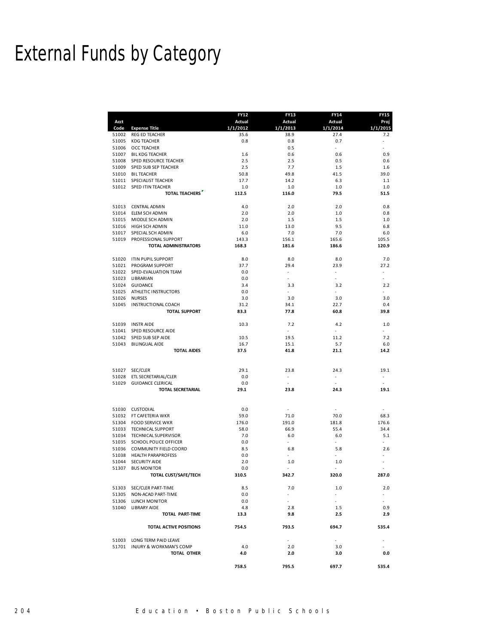### **FY12 FY13 FY14 FY15 Acct Actual Actual Actual Proj**

External Funds by Category

| 51002<br>REG ED TEACHER<br>35.6<br>38.9<br>27.4<br>51005<br>0.8<br>0.8<br>0.7<br><b>KDG TEACHER</b><br>51006<br>0.5<br><b>OCC TEACHER</b><br>51007<br>0.6<br><b>BIL KDG TEACHER</b><br>1.6<br>0.6<br>51008<br>SPED RESOURCE TEACHER<br>2.5<br>2.5<br>0.5<br>51009<br>SPED SUB SEP TEACHER<br>2.5<br>7.7<br>1.5<br>50.8<br>49.8<br>41.5<br>51010<br><b>BIL TEACHER</b><br>51011<br>SPECIALIST TEACHER<br>17.7<br>14.2<br>6.3<br>51012<br>SPED ITIN TEACHER<br>1.0<br>1.0<br>1.0<br><b>TOTAL TEACHERS</b><br>79.5<br>112.5<br>116.0<br>51013 CENTRAL ADMIN<br>4.0<br>2.0<br>2.0<br>2.0<br>2.0<br>51014<br>ELEM SCH ADMIN<br>1.0<br>51015<br>MIDDLE SCH ADMIN<br>2.0<br>1.5<br>1.5<br>9.5<br>51016<br>HIGH SCH ADMIN<br>11.0<br>13.0<br>51017<br>SPECIAL SCH ADMIN<br>6.0<br>7.0<br>7.0<br>51019<br>PROFESSIONAL SUPPORT<br>143.3<br>156.1<br>165.6<br>TOTAL ADMINISTRATORS<br>168.3<br>181.6<br>186.6<br>51020<br>ITIN PUPIL SUPPORT<br>8.0<br>8.0<br>8.0<br>37.7<br>51021<br>PROGRAM SUPPORT<br>29.4<br>23.9<br>51022<br>SPED-EVALUATION TEAM<br>0.0<br>$\overline{\phantom{a}}$<br>$\overline{\phantom{a}}$<br>51023 LIBRARIAN<br>0.0<br>٠<br>51024<br><b>GUIDANCE</b><br>3.4<br>3.3<br>3.2<br>51025<br>ATHLETIC INSTRUCTORS<br>0.0<br>÷.<br>$\overline{\phantom{a}}$ | 7.2<br>0.9<br>0.6<br>1.6<br>39.0<br>1.1<br>1.0<br>51.5<br>0.8<br>0.8<br>1.0<br>6.8<br>6.0<br>105.5<br>120.9<br>7.0<br>27.2<br>$\overline{\phantom{a}}$<br>٠ |
|-----------------------------------------------------------------------------------------------------------------------------------------------------------------------------------------------------------------------------------------------------------------------------------------------------------------------------------------------------------------------------------------------------------------------------------------------------------------------------------------------------------------------------------------------------------------------------------------------------------------------------------------------------------------------------------------------------------------------------------------------------------------------------------------------------------------------------------------------------------------------------------------------------------------------------------------------------------------------------------------------------------------------------------------------------------------------------------------------------------------------------------------------------------------------------------------------------------------------------------------------------------------------|-------------------------------------------------------------------------------------------------------------------------------------------------------------|
|                                                                                                                                                                                                                                                                                                                                                                                                                                                                                                                                                                                                                                                                                                                                                                                                                                                                                                                                                                                                                                                                                                                                                                                                                                                                       |                                                                                                                                                             |
|                                                                                                                                                                                                                                                                                                                                                                                                                                                                                                                                                                                                                                                                                                                                                                                                                                                                                                                                                                                                                                                                                                                                                                                                                                                                       |                                                                                                                                                             |
|                                                                                                                                                                                                                                                                                                                                                                                                                                                                                                                                                                                                                                                                                                                                                                                                                                                                                                                                                                                                                                                                                                                                                                                                                                                                       |                                                                                                                                                             |
|                                                                                                                                                                                                                                                                                                                                                                                                                                                                                                                                                                                                                                                                                                                                                                                                                                                                                                                                                                                                                                                                                                                                                                                                                                                                       |                                                                                                                                                             |
|                                                                                                                                                                                                                                                                                                                                                                                                                                                                                                                                                                                                                                                                                                                                                                                                                                                                                                                                                                                                                                                                                                                                                                                                                                                                       |                                                                                                                                                             |
|                                                                                                                                                                                                                                                                                                                                                                                                                                                                                                                                                                                                                                                                                                                                                                                                                                                                                                                                                                                                                                                                                                                                                                                                                                                                       |                                                                                                                                                             |
|                                                                                                                                                                                                                                                                                                                                                                                                                                                                                                                                                                                                                                                                                                                                                                                                                                                                                                                                                                                                                                                                                                                                                                                                                                                                       |                                                                                                                                                             |
|                                                                                                                                                                                                                                                                                                                                                                                                                                                                                                                                                                                                                                                                                                                                                                                                                                                                                                                                                                                                                                                                                                                                                                                                                                                                       |                                                                                                                                                             |
|                                                                                                                                                                                                                                                                                                                                                                                                                                                                                                                                                                                                                                                                                                                                                                                                                                                                                                                                                                                                                                                                                                                                                                                                                                                                       |                                                                                                                                                             |
|                                                                                                                                                                                                                                                                                                                                                                                                                                                                                                                                                                                                                                                                                                                                                                                                                                                                                                                                                                                                                                                                                                                                                                                                                                                                       |                                                                                                                                                             |
|                                                                                                                                                                                                                                                                                                                                                                                                                                                                                                                                                                                                                                                                                                                                                                                                                                                                                                                                                                                                                                                                                                                                                                                                                                                                       |                                                                                                                                                             |
|                                                                                                                                                                                                                                                                                                                                                                                                                                                                                                                                                                                                                                                                                                                                                                                                                                                                                                                                                                                                                                                                                                                                                                                                                                                                       |                                                                                                                                                             |
|                                                                                                                                                                                                                                                                                                                                                                                                                                                                                                                                                                                                                                                                                                                                                                                                                                                                                                                                                                                                                                                                                                                                                                                                                                                                       |                                                                                                                                                             |
|                                                                                                                                                                                                                                                                                                                                                                                                                                                                                                                                                                                                                                                                                                                                                                                                                                                                                                                                                                                                                                                                                                                                                                                                                                                                       |                                                                                                                                                             |
|                                                                                                                                                                                                                                                                                                                                                                                                                                                                                                                                                                                                                                                                                                                                                                                                                                                                                                                                                                                                                                                                                                                                                                                                                                                                       |                                                                                                                                                             |
|                                                                                                                                                                                                                                                                                                                                                                                                                                                                                                                                                                                                                                                                                                                                                                                                                                                                                                                                                                                                                                                                                                                                                                                                                                                                       |                                                                                                                                                             |
|                                                                                                                                                                                                                                                                                                                                                                                                                                                                                                                                                                                                                                                                                                                                                                                                                                                                                                                                                                                                                                                                                                                                                                                                                                                                       |                                                                                                                                                             |
|                                                                                                                                                                                                                                                                                                                                                                                                                                                                                                                                                                                                                                                                                                                                                                                                                                                                                                                                                                                                                                                                                                                                                                                                                                                                       |                                                                                                                                                             |
|                                                                                                                                                                                                                                                                                                                                                                                                                                                                                                                                                                                                                                                                                                                                                                                                                                                                                                                                                                                                                                                                                                                                                                                                                                                                       |                                                                                                                                                             |
|                                                                                                                                                                                                                                                                                                                                                                                                                                                                                                                                                                                                                                                                                                                                                                                                                                                                                                                                                                                                                                                                                                                                                                                                                                                                       |                                                                                                                                                             |
|                                                                                                                                                                                                                                                                                                                                                                                                                                                                                                                                                                                                                                                                                                                                                                                                                                                                                                                                                                                                                                                                                                                                                                                                                                                                       |                                                                                                                                                             |
|                                                                                                                                                                                                                                                                                                                                                                                                                                                                                                                                                                                                                                                                                                                                                                                                                                                                                                                                                                                                                                                                                                                                                                                                                                                                       | 2.2                                                                                                                                                         |
|                                                                                                                                                                                                                                                                                                                                                                                                                                                                                                                                                                                                                                                                                                                                                                                                                                                                                                                                                                                                                                                                                                                                                                                                                                                                       |                                                                                                                                                             |
| 3.0<br>51026<br><b>NURSES</b><br>3.0<br>3.0                                                                                                                                                                                                                                                                                                                                                                                                                                                                                                                                                                                                                                                                                                                                                                                                                                                                                                                                                                                                                                                                                                                                                                                                                           | 3.0                                                                                                                                                         |
| 51045<br>INSTRUCTIONAL COACH<br>31.2<br>34.1<br>22.7                                                                                                                                                                                                                                                                                                                                                                                                                                                                                                                                                                                                                                                                                                                                                                                                                                                                                                                                                                                                                                                                                                                                                                                                                  | 0.4                                                                                                                                                         |
| 83.3<br>77.8<br>60.8<br><b>TOTAL SUPPORT</b>                                                                                                                                                                                                                                                                                                                                                                                                                                                                                                                                                                                                                                                                                                                                                                                                                                                                                                                                                                                                                                                                                                                                                                                                                          | 39.8                                                                                                                                                        |
| 51039<br><b>INSTR AIDE</b><br>10.3<br>7.2<br>4.2                                                                                                                                                                                                                                                                                                                                                                                                                                                                                                                                                                                                                                                                                                                                                                                                                                                                                                                                                                                                                                                                                                                                                                                                                      | 1.0                                                                                                                                                         |
| 51041<br>SPED RESOURCE AIDE<br>$\overline{\phantom{a}}$<br>$\sim$                                                                                                                                                                                                                                                                                                                                                                                                                                                                                                                                                                                                                                                                                                                                                                                                                                                                                                                                                                                                                                                                                                                                                                                                     |                                                                                                                                                             |
| 51042<br>SPED SUB SEP AIDE<br>10.5<br>19.5<br>11.2                                                                                                                                                                                                                                                                                                                                                                                                                                                                                                                                                                                                                                                                                                                                                                                                                                                                                                                                                                                                                                                                                                                                                                                                                    | 7.2                                                                                                                                                         |
| 16.7<br>5.7<br>51043<br><b>BILINGUAL AIDE</b><br>15.1                                                                                                                                                                                                                                                                                                                                                                                                                                                                                                                                                                                                                                                                                                                                                                                                                                                                                                                                                                                                                                                                                                                                                                                                                 | 6.0                                                                                                                                                         |
| 37.5<br>41.8<br>21.1<br><b>TOTAL AIDES</b>                                                                                                                                                                                                                                                                                                                                                                                                                                                                                                                                                                                                                                                                                                                                                                                                                                                                                                                                                                                                                                                                                                                                                                                                                            | 14.2                                                                                                                                                        |
| SEC/CLER<br>29.1<br>51027<br>23.8<br>24.3                                                                                                                                                                                                                                                                                                                                                                                                                                                                                                                                                                                                                                                                                                                                                                                                                                                                                                                                                                                                                                                                                                                                                                                                                             | 19.1                                                                                                                                                        |
| 51028<br>ETL SECRETARIAL/CLER<br>0.0<br>÷,                                                                                                                                                                                                                                                                                                                                                                                                                                                                                                                                                                                                                                                                                                                                                                                                                                                                                                                                                                                                                                                                                                                                                                                                                            |                                                                                                                                                             |
| 0.0<br>51029<br><b>GUIDANCE CLERICAL</b><br>×                                                                                                                                                                                                                                                                                                                                                                                                                                                                                                                                                                                                                                                                                                                                                                                                                                                                                                                                                                                                                                                                                                                                                                                                                         | ٠                                                                                                                                                           |
| 29.1<br><b>TOTAL SECRETARIAL</b><br>23.8<br>24.3                                                                                                                                                                                                                                                                                                                                                                                                                                                                                                                                                                                                                                                                                                                                                                                                                                                                                                                                                                                                                                                                                                                                                                                                                      | 19.1                                                                                                                                                        |
|                                                                                                                                                                                                                                                                                                                                                                                                                                                                                                                                                                                                                                                                                                                                                                                                                                                                                                                                                                                                                                                                                                                                                                                                                                                                       |                                                                                                                                                             |
| 51030 CUSTODIAL<br>0.0<br>$\overline{\phantom{a}}$<br>÷                                                                                                                                                                                                                                                                                                                                                                                                                                                                                                                                                                                                                                                                                                                                                                                                                                                                                                                                                                                                                                                                                                                                                                                                               | ٠                                                                                                                                                           |
| 51032<br>FT CAFETERIA WKR<br>59.0<br>71.0<br>70.0                                                                                                                                                                                                                                                                                                                                                                                                                                                                                                                                                                                                                                                                                                                                                                                                                                                                                                                                                                                                                                                                                                                                                                                                                     | 68.3                                                                                                                                                        |
| 51304 FOOD SERVICE WKR<br>176.0<br>191.0<br>181.8                                                                                                                                                                                                                                                                                                                                                                                                                                                                                                                                                                                                                                                                                                                                                                                                                                                                                                                                                                                                                                                                                                                                                                                                                     | 176.6                                                                                                                                                       |
| 55.4<br>51033<br><b>TECHNICAL SUPPORT</b><br>58.0<br>66.9                                                                                                                                                                                                                                                                                                                                                                                                                                                                                                                                                                                                                                                                                                                                                                                                                                                                                                                                                                                                                                                                                                                                                                                                             | 34.4                                                                                                                                                        |
| 51034<br>7.0<br>6.0<br>TECHNICAL SUPERVISOR<br>6.0                                                                                                                                                                                                                                                                                                                                                                                                                                                                                                                                                                                                                                                                                                                                                                                                                                                                                                                                                                                                                                                                                                                                                                                                                    | 5.1                                                                                                                                                         |
| ÷.<br>51035<br><b>SCHOOL POLICE OFFICER</b><br>0.0<br>$\sim$                                                                                                                                                                                                                                                                                                                                                                                                                                                                                                                                                                                                                                                                                                                                                                                                                                                                                                                                                                                                                                                                                                                                                                                                          |                                                                                                                                                             |
| 51036 COMMUNITY FIELD COORD<br>8.5<br>6.8<br>5.8                                                                                                                                                                                                                                                                                                                                                                                                                                                                                                                                                                                                                                                                                                                                                                                                                                                                                                                                                                                                                                                                                                                                                                                                                      | 2.6                                                                                                                                                         |
| 51038<br><b>HEALTH PARAPROFESS</b><br>0.0<br>٠<br>٠                                                                                                                                                                                                                                                                                                                                                                                                                                                                                                                                                                                                                                                                                                                                                                                                                                                                                                                                                                                                                                                                                                                                                                                                                   |                                                                                                                                                             |
| 2.0<br>51044<br>SECURITY AIDE<br>1.0<br>1.0                                                                                                                                                                                                                                                                                                                                                                                                                                                                                                                                                                                                                                                                                                                                                                                                                                                                                                                                                                                                                                                                                                                                                                                                                           |                                                                                                                                                             |
| 51307<br><b>BUS MONITOR</b><br>0.0<br>ä,<br>ä,                                                                                                                                                                                                                                                                                                                                                                                                                                                                                                                                                                                                                                                                                                                                                                                                                                                                                                                                                                                                                                                                                                                                                                                                                        |                                                                                                                                                             |
| TOTAL CUST/SAFE/TECH<br>310.5<br>342.7<br>320.0                                                                                                                                                                                                                                                                                                                                                                                                                                                                                                                                                                                                                                                                                                                                                                                                                                                                                                                                                                                                                                                                                                                                                                                                                       | 287.0                                                                                                                                                       |
| 51303 SEC/CLER PART-TIME<br>8.5<br>7.0<br>1.0                                                                                                                                                                                                                                                                                                                                                                                                                                                                                                                                                                                                                                                                                                                                                                                                                                                                                                                                                                                                                                                                                                                                                                                                                         | 2.0                                                                                                                                                         |
| 51305 NON-ACAD PART-TIME<br>0.0<br>$\sim$<br>$\sim$                                                                                                                                                                                                                                                                                                                                                                                                                                                                                                                                                                                                                                                                                                                                                                                                                                                                                                                                                                                                                                                                                                                                                                                                                   | $\overline{\phantom{a}}$                                                                                                                                    |
| 51306 LUNCH MONITOR<br>0.0<br>$\sim$                                                                                                                                                                                                                                                                                                                                                                                                                                                                                                                                                                                                                                                                                                                                                                                                                                                                                                                                                                                                                                                                                                                                                                                                                                  |                                                                                                                                                             |
| 51040 LIBRARY AIDE<br>4.8<br>2.8<br>1.5                                                                                                                                                                                                                                                                                                                                                                                                                                                                                                                                                                                                                                                                                                                                                                                                                                                                                                                                                                                                                                                                                                                                                                                                                               | 0.9                                                                                                                                                         |
| 9.8<br>TOTAL PART-TIME<br>13.3<br>2.5                                                                                                                                                                                                                                                                                                                                                                                                                                                                                                                                                                                                                                                                                                                                                                                                                                                                                                                                                                                                                                                                                                                                                                                                                                 | 2.9                                                                                                                                                         |
| <b>TOTAL ACTIVE POSITIONS</b><br>754.5<br>793.5<br>694.7                                                                                                                                                                                                                                                                                                                                                                                                                                                                                                                                                                                                                                                                                                                                                                                                                                                                                                                                                                                                                                                                                                                                                                                                              | 535.4                                                                                                                                                       |
| 51003 LONG TERM PAID LEAVE<br>$\sim$<br>$\sim$                                                                                                                                                                                                                                                                                                                                                                                                                                                                                                                                                                                                                                                                                                                                                                                                                                                                                                                                                                                                                                                                                                                                                                                                                        |                                                                                                                                                             |
| 51701 INJURY & WORKMAN'S COMP<br>4.0<br>2.0<br>3.0                                                                                                                                                                                                                                                                                                                                                                                                                                                                                                                                                                                                                                                                                                                                                                                                                                                                                                                                                                                                                                                                                                                                                                                                                    |                                                                                                                                                             |
| 4.0<br>TOTAL OTHER<br>2.0<br>3.0                                                                                                                                                                                                                                                                                                                                                                                                                                                                                                                                                                                                                                                                                                                                                                                                                                                                                                                                                                                                                                                                                                                                                                                                                                      | 0.0                                                                                                                                                         |
| 758.5<br>795.5<br>697.7                                                                                                                                                                                                                                                                                                                                                                                                                                                                                                                                                                                                                                                                                                                                                                                                                                                                                                                                                                                                                                                                                                                                                                                                                                               | 535.4                                                                                                                                                       |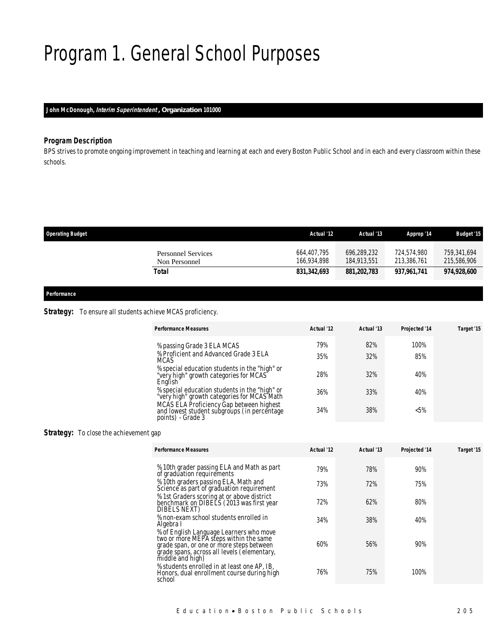### Program 1. General School Purposes

### *John McDonough, Interim Superintendent , Organization 101000*

### *Program Description*

BPS strives to promote ongoing improvement in teaching and learning at each and every Boston Public School and in each and every classroom within these schools.

| <b>Operating Budget</b>                    | Actual '12                 | Actual '13                 | Approp '14                 | <b>Budget '15</b>          |
|--------------------------------------------|----------------------------|----------------------------|----------------------------|----------------------------|
| <b>Personnel Services</b><br>Non Personnel | 664,407,795<br>166,934,898 | 696,289,232<br>184,913,551 | 724.574.980<br>213,386,761 | 759.341.694<br>215,586,906 |
| Total                                      | 831,342,693                | 881,202,783                | 937.961.741                | 974,928,600                |

#### *Performance*

### **Strategy:** To ensure all students achieve MCAS proficiency.

| <b>Performance Measures</b>                                                                                  | Actual '12 | Actual '13 | Projected '14 | Target '15 |
|--------------------------------------------------------------------------------------------------------------|------------|------------|---------------|------------|
| % passing Grade 3 ELA MCAS                                                                                   | 79%        | 82%        | 100%          |            |
| % Proficient and Advanced Grade 3 ELA<br><b>MCAS</b>                                                         | 35%        | 32%        | 85%           |            |
| % special education students in the "high" or<br>"very high" growth categories for MCAS<br>English           | 28%        | 32%        | 40%           |            |
| % special education students in the "high" or<br>"very high" growth categories for MCAS Math                 | 36%        | 33%        | 40%           |            |
| MCAS ELA Proficiency Gap between highest<br>and lowest student subgroups (in percentage<br>points) - Grade 3 | 34%        | 38%        | $< 5\%$       |            |

### **Strategy:** To close the achievement gap

| <b>Performance Measures</b>                                                                                                                                                                      | Actual '12 | Actual '13 | Projected '14 | Target '15 |
|--------------------------------------------------------------------------------------------------------------------------------------------------------------------------------------------------|------------|------------|---------------|------------|
| % 10th grader passing ELA and Math as part<br>of graduation requirements                                                                                                                         | 79%        | 78%        | 90%           |            |
| % 10th graders passing ELA, Math and<br>Science as part of graduation requirement                                                                                                                | 73%        | 72%        | 75%           |            |
| % 1st Graders scoring at or above district<br>benchmark on DIBELS (2013 was first year<br>DIBELS NEXT)                                                                                           | 72%        | 62%        | 80%           |            |
| % non-exam school students enrolled in<br>Algebra I                                                                                                                                              | 34%        | 38%        | 40%           |            |
| % of English Language Learners who move<br>two or more MEPA steps within the same<br>grade span, or one or more steps between<br>grade spans, across all levels (elementary,<br>middle and high) | 60%        | 56%        | 90%           |            |
| % students enrolled in at least one AP, IB,<br>Honors, dual enrollment course during high<br>school                                                                                              | 76%        | 75%        | 100%          |            |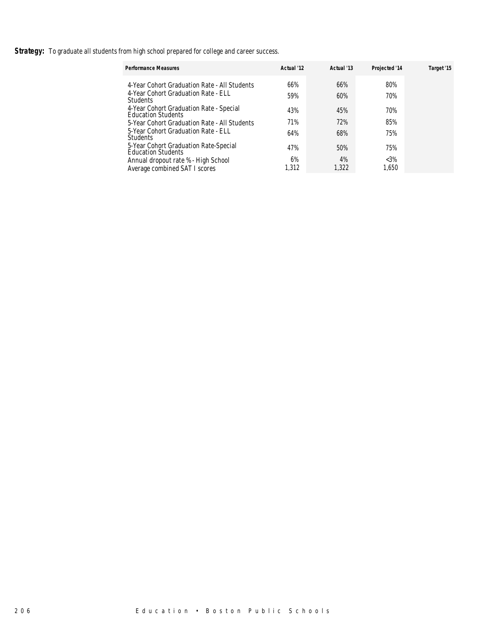**Strategy:** To graduate all students from high school prepared for college and career success.

| <b>Performance Measures</b>                                          | Actual '12 | Actual '13 | Projected '14 | Target '15 |
|----------------------------------------------------------------------|------------|------------|---------------|------------|
| 4-Year Cohort Graduation Rate - All Students                         | 66%        | 66%        | 80%           |            |
| 4-Year Cohort Graduation Rate - ELL<br><b>Students</b>               | 59%        | 60%        | 70%           |            |
| 4-Year Cohort Graduation Rate - Special<br><b>Education Students</b> | 43%        | 45%        | 70%           |            |
| 5-Year Cohort Graduation Rate - All Students                         | 71%        | 72%        | 85%           |            |
| 5-Year Cohort Graduation Rate - ELL<br><b>Students</b>               | 64%        | 68%        | 75%           |            |
| 5-Year Cohort Graduation Rate-Special<br><b>Education Students</b>   | 47%        | 50%        | 75%           |            |
| Annual dropout rate % - High School                                  | 6%         | 4%         | $<3\%$        |            |
| Average combined SAT I scores                                        | .312       | 1,322      | 1.650         |            |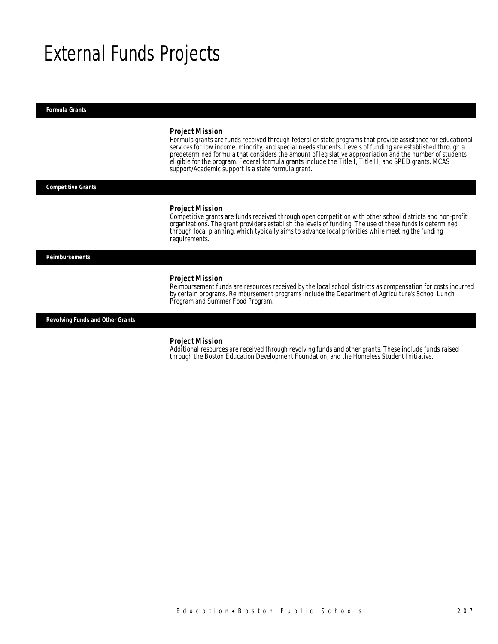### External Funds Projects

*Formula Grants* 

#### *Project Mission*

Formula grants are funds received through federal or state programs that provide assistance for educational services for low income, minority, and special needs students. Levels of funding are established through a predetermined formula that considers the amount of legislative appropriation and the number of students eligible for the program. Federal formula grants include the Title I, Title II, and SPED grants. MCAS support/Academic support is a state formula grant.

*Competitive Grants* 

#### *Project Mission*

Competitive grants are funds received through open competition with other school districts and non-profit organizations. The grant providers establish the levels of funding. The use of these funds is determined through local planning, which typically aims to advance local priorities while meeting the funding requirements.

*Reimbursements* 

#### *Project Mission*

Reimbursement funds are resources received by the local school districts as compensation for costs incurred by certain programs. Reimbursement programs include the Department of Agriculture's School Lunch Program and Summer Food Program.

*Revolving Funds and Other Grants* 

### *Project Mission*

Additional resources are received through revolving funds and other grants. These include funds raised through the Boston Education Development Foundation, and the Homeless Student Initiative.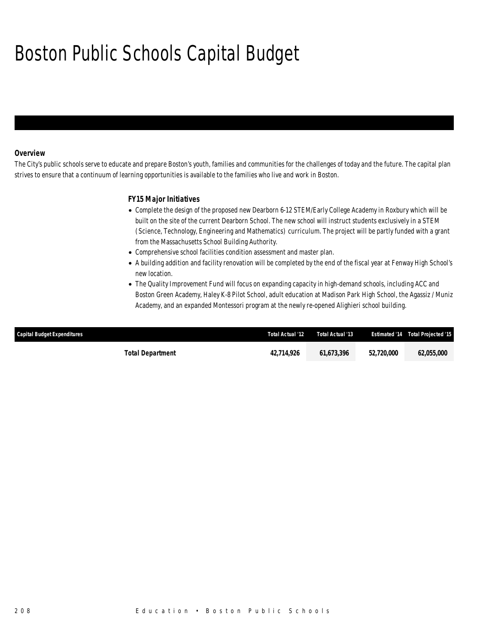# Boston Public Schools Capital Budget

### *Overview*

The City's public schools serve to educate and prepare Boston's youth, families and communities for the challenges of today and the future. The capital plan strives to ensure that a continuum of learning opportunities is available to the families who live and work in Boston.

### *FY15 Major Initiatives*

- Complete the design of the proposed new Dearborn 6-12 STEM/Early College Academy in Roxbury which will be built on the site of the current Dearborn School. The new school will instruct students exclusively in a STEM (Science, Technology, Engineering and Mathematics) curriculum. The project will be partly funded with a grant from the Massachusetts School Building Authority.
- Comprehensive school facilities condition assessment and master plan.
- A building addition and facility renovation will be completed by the end of the fiscal year at Fenway High School's new location.
- The Quality Improvement Fund will focus on expanding capacity in high-demand schools, including ACC and Boston Green Academy, Haley K-8 Pilot School, adult education at Madison Park High School, the Agassiz / Muniz Academy, and an expanded Montessori program at the newly re-opened Alighieri school building.

| Capital Budget Expenditures | Total Actual '12 | Total Actual '13 |            | <b>Estimated '14 Total Projected '15</b> |
|-----------------------------|------------------|------------------|------------|------------------------------------------|
| <b>Total Department</b>     | 42.714.926       | 61.673.396       | 52,720,000 | 62.055.000                               |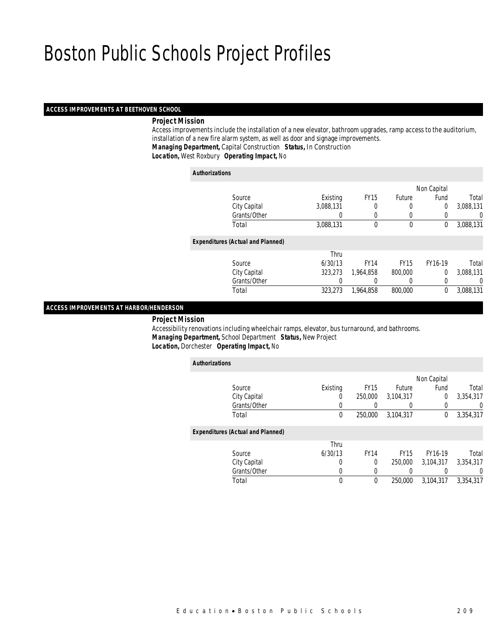### *ACCESS IMPROVEMENTS AT BEETHOVEN SCHOOL*

### *Project Mission*

 Access improvements include the installation of a new elevator, bathroom upgrades, ramp access to the auditorium, installation of a new fire alarm system, as well as door and signage improvements. *Managing Department,* Capital Construction *Status,* In Construction

*Location,* West Roxbury *Operating Impact,* No

#### *Authorizations*

|                                          |           |             |               | Non Capital    |           |
|------------------------------------------|-----------|-------------|---------------|----------------|-----------|
| Source                                   | Existing  | <b>FY15</b> | <b>Future</b> | Fund           | Total     |
| City Capital                             | 3,088,131 | 0           | 0             | $\overline{0}$ | 3,088,131 |
| Grants/Other                             | 0         | 0           | $\left($      | 0              | 0         |
| Total                                    | 3,088,131 | 0           | $\mathbf 0$   | 0              | 3,088,131 |
| <b>Expenditures (Actual and Planned)</b> |           |             |               |                |           |
|                                          | Thru      |             |               |                |           |
| Source                                   | 6/30/13   | <b>FY14</b> | <b>FY15</b>   | FY16-19        | Total     |
| City Capital                             | 323,273   | 1,964,858   | 800,000       | $\Omega$       | 3,088,131 |
| Grants/Other                             | 0         | 0           | $\left($      | 0              | 0         |
| Total                                    | 323,273   | 1,964,858   | 800,000       | $\theta$       | 3,088,131 |
|                                          |           |             |               |                |           |

### *ACCESS IMPROVEMENTS AT HARBOR/HENDERSON*

*Project Mission*

 Accessibility renovations including wheelchair ramps, elevator, bus turnaround, and bathrooms. *Managing Department,* School Department *Status,* New Project*Location,* Dorchester *Operating Impact,* No

| <b>Authorizations</b> |                                          |          |             |             |                |           |
|-----------------------|------------------------------------------|----------|-------------|-------------|----------------|-----------|
|                       |                                          |          |             |             | Non Capital    |           |
|                       | Source                                   | Existing | <b>FY15</b> | Future      | Fund           | Total     |
|                       | City Capital                             | 0        | 250,000     | 3,104,317   | $\overline{0}$ | 3,354,317 |
|                       | Grants/Other                             |          |             |             |                | 0         |
|                       | Total                                    | 0        | 250,000     | 3,104,317   | 0              | 3,354,317 |
|                       | <b>Expenditures (Actual and Planned)</b> |          |             |             |                |           |
|                       |                                          | Thru     |             |             |                |           |
|                       | Source                                   | 6/30/13  | <b>FY14</b> | <b>FY15</b> | FY16-19        | Total     |
|                       | City Capital                             | 0        | $\theta$    | 250,000     | 3.104.317      | 3,354,317 |
|                       | Grants/Other                             | 0        |             |             |                | 0         |
|                       | Total                                    | 0        | $\theta$    | 250,000     | 3.104.317      | 3.354.317 |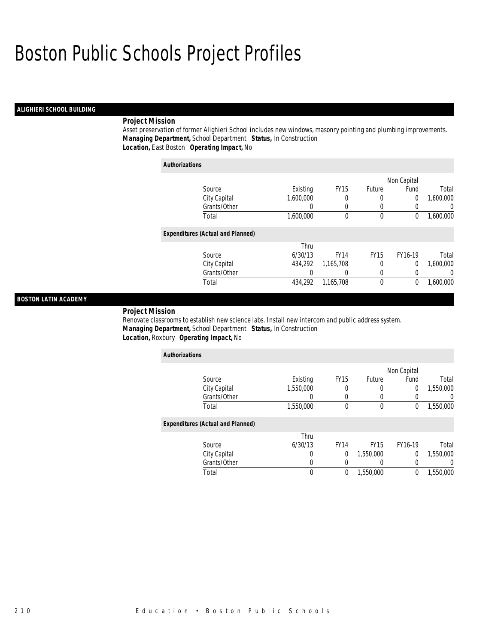### *ALIGHIERI SCHOOL BUILDING*

### *Project Mission*

Asset preservation of former Alighieri School includes new windows, masonry pointing and plumbing improvements. *Managing Department,* School Department *Status,* In Construction*Location,* East Boston *Operating Impact,* No

| <b>Authorizations</b>                    |           |             |             |                |           |
|------------------------------------------|-----------|-------------|-------------|----------------|-----------|
|                                          |           |             |             | Non Capital    |           |
| Source                                   | Existing  | <b>FY15</b> | Future      | Fund           | Total     |
| City Capital                             | 1,600,000 | 0           | 0           | $\overline{0}$ | 1,600,000 |
| Grants/Other                             | 0         | 0           | 0           | 0              | 0         |
| Total                                    | 1.600.000 | 0           | 0           | 0              | 1,600,000 |
| <b>Expenditures (Actual and Planned)</b> |           |             |             |                |           |
|                                          | Thru      |             |             |                |           |
| Source                                   | 6/30/13   | <b>FY14</b> | <b>FY15</b> | FY16-19        | Total     |
| City Capital                             | 434.292   | 1,165,708   | 0           | 0              | 1,600,000 |
| Grants/Other                             | 0         | 0           | 0           | 0              | 0         |
| Total                                    | 434.292   | 1.165.708   | 0           | $\theta$       | 1,600,000 |

### *BOSTON LATIN ACADEMY*

*Project Mission* 

Renovate classrooms to establish new science labs. Install new intercom and public address system. *Managing Department,* School Department *Status,* In Construction*Location,* Roxbury *Operating Impact,* No

| <b>Authorizations</b>                    |           |             |             |                |           |
|------------------------------------------|-----------|-------------|-------------|----------------|-----------|
|                                          |           |             |             | Non Capital    |           |
| Source                                   | Existing  | <b>FY15</b> | Future      | Fund           | Total     |
| City Capital                             | 1,550,000 |             | 0           | 0              | 1,550,000 |
| Grants/Other                             | 0         | $\Omega$    |             | 0              | 0         |
| Total                                    | 1,550,000 | $\theta$    | $\mathbf 0$ | 0              | 1,550,000 |
| <b>Expenditures (Actual and Planned)</b> |           |             |             |                |           |
|                                          | Thru      |             |             |                |           |
| Source                                   | 6/30/13   | <b>FY14</b> | <b>FY15</b> | FY16-19        | Total     |
| City Capital                             | 0         | 0           | 1,550,000   | $\overline{0}$ | 1,550,000 |
| Grants/Other                             | 0         | $\Omega$    |             | 0              | 0         |
| Total                                    | 0         | 0           | 1,550,000   | 0              | 1,550,000 |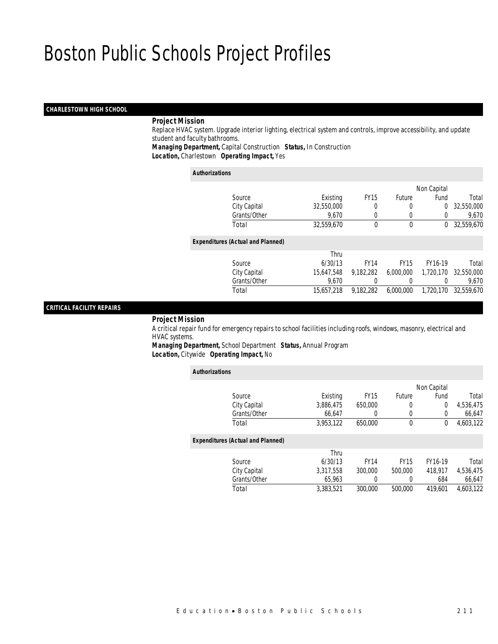### *CHARLESTOWN HIGH SCHOOL*

### *Project Mission*

 Replace HVAC system. Upgrade interior lighting, electrical system and controls, improve accessibility, and update student and faculty bathrooms.

*Managing Department,* Capital Construction *Status,* In Construction

*Location,* Charlestown *Operating Impact,* Yes

#### *Authorizations*

|                                          |            |             |               | Non Capital    |            |
|------------------------------------------|------------|-------------|---------------|----------------|------------|
| Source                                   | Existing   | <b>FY15</b> | <b>Future</b> | Fund           | Total      |
| City Capital                             | 32,550,000 | 0           | 0             | $\overline{0}$ | 32,550,000 |
| Grants/Other                             | 9,670      |             |               |                | 9,670      |
| Total                                    | 32,559,670 | $\theta$    | 0             | $^{0}$         | 32,559,670 |
| <b>Expenditures (Actual and Planned)</b> |            |             |               |                |            |
|                                          | Thru       |             |               |                |            |
| Source                                   | 6/30/13    | <b>FY14</b> | <b>FY15</b>   | FY16-19        | Total      |
| City Capital                             | 15,647,548 | 9,182,282   | 6,000,000     | 1,720,170      | 32,550,000 |
| Grants/Other                             | 9.670      |             | 0             |                | 9.670      |
| Total                                    | 15,657,218 | 9,182,282   | 6,000,000     | 1,720,170      | 32,559,670 |
|                                          |            |             |               |                |            |

### *CRITICAL FACILITY REPAIRS*

*Project Mission*

 A critical repair fund for emergency repairs to school facilities including roofs, windows, masonry, electrical and HVAC systems.

*Managing Department,* School Department *Status,* Annual Program*Location,* Citywide *Operating Impact,* No

| <b>Authorizations</b> |                                          |           |             |             |             |           |
|-----------------------|------------------------------------------|-----------|-------------|-------------|-------------|-----------|
|                       |                                          |           |             |             | Non Capital |           |
|                       | Source                                   | Existing  | <b>FY15</b> | Future      | Fund        | Total     |
|                       | City Capital                             | 3,886,475 | 650,000     | 0           | 0           | 4,536,475 |
|                       | Grants/Other                             | 66.647    | 0           | 0           | 0           | 66,647    |
|                       | Total                                    | 3,953,122 | 650,000     | 0           | 0           | 4,603,122 |
|                       | <b>Expenditures (Actual and Planned)</b> |           |             |             |             |           |
|                       |                                          | Thru      |             |             |             |           |
|                       | Source                                   | 6/30/13   | <b>FY14</b> | <b>FY15</b> | FY16-19     | Total     |
|                       | City Capital                             | 3,317,558 | 300,000     | 500,000     | 418.917     | 4,536,475 |
|                       | Grants/Other                             | 65,963    | 0           | 0           | 684         | 66,647    |
|                       | Total                                    | 3.383.521 | 300,000     | 500,000     | 419.601     | 4.603.122 |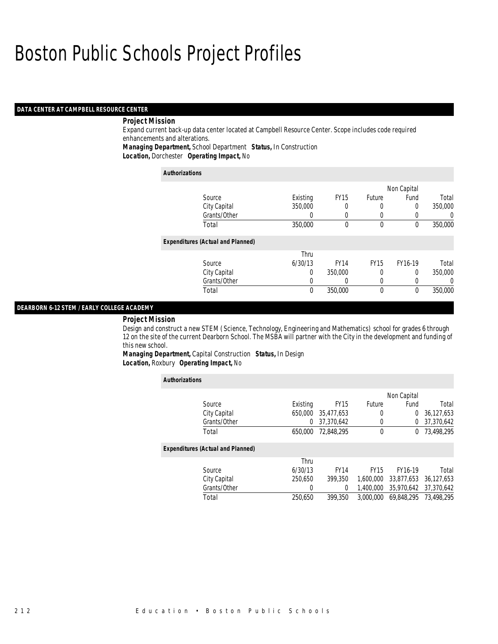### *DATA CENTER AT CAMPBELL RESOURCE CENTER*

### *Project Mission*

Expand current back-up data center located at Campbell Resource Center. Scope includes code required enhancements and alterations.

*Managing Department,* School Department *Status,* In Construction

*Location,* Dorchester *Operating Impact,* No

| <b>Authorizations</b>                    |          |             |             |             |         |
|------------------------------------------|----------|-------------|-------------|-------------|---------|
|                                          |          |             |             | Non Capital |         |
| Source                                   | Existing | <b>FY15</b> | Future      | Fund        | Total   |
| City Capital                             | 350,000  | 0           | 0           | 0           | 350,000 |
| Grants/Other                             | 0        | 0           |             | 0           | 0       |
| Total                                    | 350,000  | $\theta$    | $\theta$    | $\theta$    | 350,000 |
| <b>Expenditures (Actual and Planned)</b> |          |             |             |             |         |
|                                          | Thru     |             |             |             |         |
| Source                                   | 6/30/13  | <b>FY14</b> | <b>FY15</b> | FY16-19     | Total   |
| City Capital                             | $\Omega$ | 350,000     |             | 0           | 350,000 |
| Grants/Other                             | 0        | 0           | 0           |             | 0       |
| Total                                    | 0        | 350,000     | $\theta$    | 0           | 350,000 |

### *DEARBORN 6-12 STEM / EARLY COLLEGE ACADEMY*

#### *Project Mission*

Design and construct a new STEM (Science, Technology, Engineering and Mathematics) school for grades 6 through 12 on the site of the current Dearborn School. The MSBA will partner with the City in the development and funding of this new school.

*Managing Department,* Capital Construction *Status,* In Design*Location,* Roxbury *Operating Impact,* No

| <b>Authorizations</b>                    |          |             |             |             |            |
|------------------------------------------|----------|-------------|-------------|-------------|------------|
|                                          |          |             |             | Non Capital |            |
| Source                                   | Existing | <b>FY15</b> | Future      | Fund        | Total      |
| City Capital                             | 650,000  | 35.477.653  | 0           | $\Omega$    | 36,127,653 |
| Grants/Other                             | 0        | 37,370,642  |             | $\Omega$    | 37,370,642 |
| Total                                    | 650,000  | 72.848.295  | 0           | $^{0}$      | 73,498,295 |
| <b>Expenditures (Actual and Planned)</b> |          |             |             |             |            |
|                                          | Thru     |             |             |             |            |
| Source                                   | 6/30/13  | <b>FY14</b> | <b>FY15</b> | FY16-19     | Total      |
| City Capital                             | 250.650  | 399,350     | 1.600.000   | 33.877.653  | 36.127.653 |
| Grants/Other                             | 0        | 0           | 1.400.000   | 35,970,642  | 37,370,642 |
| Total                                    | 250,650  | 399,350     | 3.000.000   | 69.848.295  | 73,498,295 |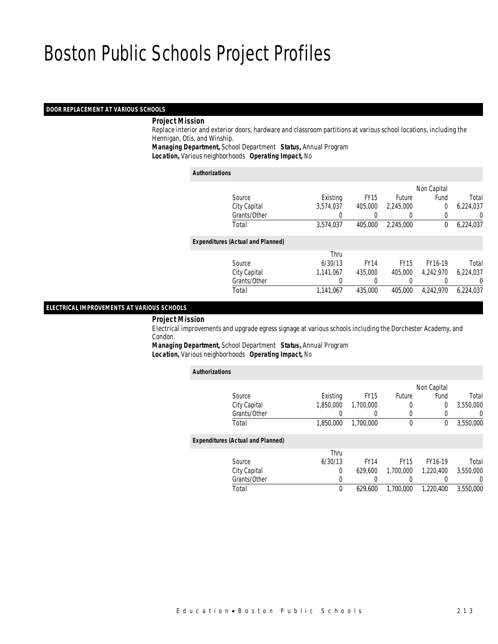#### *DOOR REPLACEMENT AT VARIOUS SCHOOLS*

### *Project Mission*

 Replace interior and exterior doors, hardware and classroom partitions at various school locations, including the Hennigan, Otis, and Winship.

*Managing Department,* School Department *Status,* Annual Program

*Location,* Various neighborhoods *Operating Impact,* No

#### *Authorizations*

|                                          |           |             |               | Non Capital |           |
|------------------------------------------|-----------|-------------|---------------|-------------|-----------|
| Source                                   | Existing  | <b>FY15</b> | <b>Future</b> | Fund        | Total     |
| City Capital                             | 3,574,037 | 405,000     | 2.245.000     | 0           | 6,224,037 |
| Grants/Other                             |           |             |               | 0           | 0         |
| Total                                    | 3,574,037 | 405,000     | 2,245,000     | 0           | 6,224,037 |
| <b>Expenditures (Actual and Planned)</b> |           |             |               |             |           |
|                                          | Thru      |             |               |             |           |
| Source                                   | 6/30/13   | <b>FY14</b> | <b>FY15</b>   | FY16-19     | Total     |
| City Capital                             | 1,141,067 | 435,000     | 405,000       | 4,242,970   | 6,224,037 |
| Grants/Other                             | 0         |             |               |             | 0         |
| Total                                    | 1,141,067 | 435,000     | 405,000       | 4.242.970   | 6.224.037 |
|                                          |           |             |               |             |           |

### *ELECTRICAL IMPROVEMENTS AT VARIOUS SCHOOLS*

*Project Mission*

 Electrical improvements and upgrade egress signage at various schools including the Dorchester Academy, and Condon.

*Managing Department,* School Department *Status,* Annual Program*Location,* Various neighborhoods *Operating Impact,* No

| <b>Authorizations</b>                    |           |             |             |                |                |
|------------------------------------------|-----------|-------------|-------------|----------------|----------------|
|                                          |           |             |             | Non Capital    |                |
| Source                                   | Existing  | <b>FY15</b> | Future      | Fund           | Total          |
| City Capital                             | 1.850.000 | 1.700.000   | 0           | $\overline{0}$ | 3,550,000      |
| Grants/Other                             |           | $\Omega$    | 0           |                | $\overline{0}$ |
| Total                                    | 1,850,000 | 1,700,000   | $\mathbf 0$ | $\Omega$       | 3,550,000      |
| <b>Expenditures (Actual and Planned)</b> |           |             |             |                |                |
|                                          | Thru      |             |             |                |                |
| Source                                   | 6/30/13   | <b>FY14</b> | <b>FY15</b> | FY16-19        | Total          |
| City Capital                             | 0         | 629,600     | 1,700,000   | 1,220,400      | 3,550,000      |
| Grants/Other                             | 0         |             |             |                | $\Omega$       |
| Total                                    | 0         | 629.600     | 1.700.000   | 1.220.400      | 3.550.000      |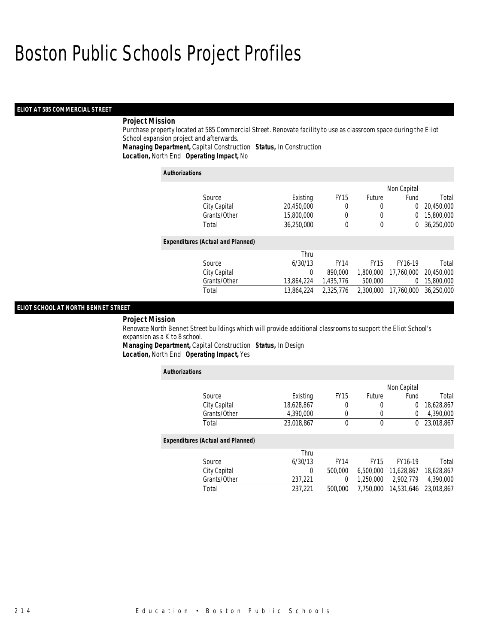### *ELIOT AT 585 COMMERCIAL STREET*

### *Project Mission*

Purchase property located at 585 Commercial Street. Renovate facility to use as classroom space during the Eliot School expansion project and afterwards.

*Managing Department,* Capital Construction *Status,* In Construction

*Location,* North End *Operating Impact,* No

| <b>Authorizations</b>                    |            |             |              |             |            |
|------------------------------------------|------------|-------------|--------------|-------------|------------|
|                                          |            |             |              | Non Capital |            |
| Source                                   | Existing   | <b>FY15</b> | Future       | Fund        | Total      |
| City Capital                             | 20,450,000 | 0           | 0            | 0           | 20,450,000 |
| Grants/Other                             | 15,800,000 | $\Omega$    | 0            | 0           | 15,800,000 |
| Total                                    | 36.250.000 | $\theta$    | $\mathbf{0}$ | 0           | 36,250,000 |
| <b>Expenditures (Actual and Planned)</b> |            |             |              |             |            |
|                                          | Thru       |             |              |             |            |
| Source                                   | 6/30/13    | <b>FY14</b> | <b>FY15</b>  | FY16-19     | Total      |
| City Capital                             | 0          | 890,000     | 1.800.000    | 17.760.000  | 20.450.000 |
| Grants/Other                             | 13.864.224 | 1.435.776   | 500,000      | 0           | 15,800,000 |
| Total                                    | 13.864.224 | 2.325.776   | 2.300.000    | 17.760.000  | 36.250.000 |

### *ELIOT SCHOOL AT NORTH BENNET STREET*

#### *Project Mission*

Renovate North Bennet Street buildings which will provide additional classrooms to support the Eliot School's expansion as a K to 8 school.

*Managing Department,* Capital Construction *Status,* In Design*Location,* North End *Operating Impact,* Yes

| <b>Authorizations</b>                    |            |             |             |             |            |
|------------------------------------------|------------|-------------|-------------|-------------|------------|
|                                          |            |             |             | Non Capital |            |
| Source                                   | Existing   | <b>FY15</b> | Future      | Fund        | Total      |
| City Capital                             | 18,628,867 | 0           | $\Omega$    | 0           | 18,628,867 |
| Grants/Other                             | 4.390.000  | 0           | $\theta$    | 0           | 4,390,000  |
| Total                                    | 23.018.867 | 0           | $\mathbf 0$ | 0           | 23,018,867 |
| <b>Expenditures (Actual and Planned)</b> |            |             |             |             |            |
|                                          | Thru       |             |             |             |            |
| Source                                   | 6/30/13    | <b>FY14</b> | <b>FY15</b> | FY16-19     | Total      |
| City Capital                             | 0          | 500,000     | 6.500.000   | 11.628.867  | 18,628,867 |
| Grants/Other                             | 237.221    | 0           | 1.250.000   | 2,902,779   | 4,390,000  |
| Total                                    | 237,221    | 500,000     | 7.750.000   | 14,531,646  | 23.018.867 |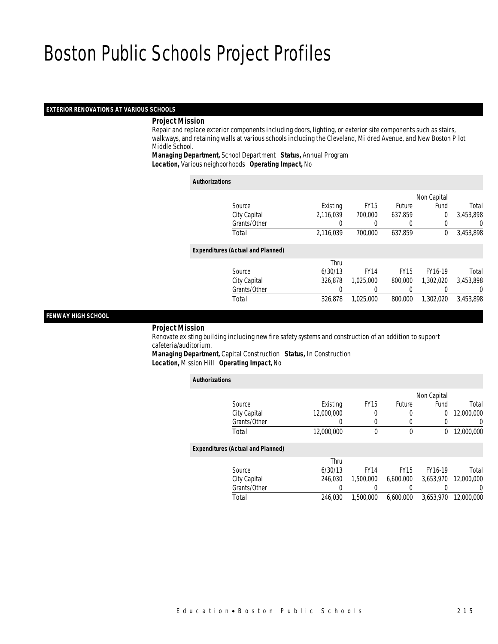### *EXTERIOR RENOVATIONS AT VARIOUS SCHOOLS*

### *Project Mission*

 Repair and replace exterior components including doors, lighting, or exterior site components such as stairs, walkways, and retaining walls at various schools including the Cleveland, Mildred Avenue, and New Boston Pilot Middle School.

*Managing Department,* School Department *Status,* Annual Program*Location,* Various neighborhoods *Operating Impact,* No

| <b>Authorizations</b>                    |           |             |             |             |           |
|------------------------------------------|-----------|-------------|-------------|-------------|-----------|
|                                          |           |             |             | Non Capital |           |
| Source                                   | Existing  | <b>FY15</b> | Future      | Fund        | Total     |
| City Capital                             | 2.116.039 | 700,000     | 637.859     | 0           | 3.453.898 |
| Grants/Other                             | 0         |             | 0           | 0           | 0         |
| Total                                    | 2,116,039 | 700,000     | 637,859     | $\Omega$    | 3,453,898 |
| <b>Expenditures (Actual and Planned)</b> |           |             |             |             |           |
|                                          | Thru      |             |             |             |           |
| Source                                   | 6/30/13   | <b>FY14</b> | <b>FY15</b> | FY16-19     | Total     |
| City Capital                             | 326.878   | 1.025.000   | 800,000     | 1.302.020   | 3.453.898 |
| Grants/Other                             | 0         | 0           | 0           |             | $\Omega$  |
| Total                                    | 326.878   | 1.025.000   | 800,000     | 1.302.020   | 3.453.898 |

#### *FENWAY HIGH SCHOOL*

#### *Project Mission*

 Renovate existing building including new fire safety systems and construction of an addition to support cafeteria/auditorium.

*Managing Department,* Capital Construction *Status,* In Construction*Location,* Mission Hill *Operating Impact,* No

| <b>Authorizations</b>                    |            |             |             |             |            |
|------------------------------------------|------------|-------------|-------------|-------------|------------|
|                                          |            |             |             | Non Capital |            |
| Source                                   | Existing   | <b>FY15</b> | Future      | Fund        | Total      |
| City Capital                             | 12,000,000 | 0           | 0           | 0           | 12,000,000 |
| Grants/Other                             | 0          | 0           | 0           |             | 0          |
| Total                                    | 12,000,000 | 0           | 0           | 0           | 12,000,000 |
| <b>Expenditures (Actual and Planned)</b> |            |             |             |             |            |
|                                          | Thru       |             |             |             |            |
| Source                                   | 6/30/13    | <b>FY14</b> | <b>FY15</b> | FY16-19     | Total      |
| City Capital                             | 246.030    | 1.500.000   | 6.600.000   | 3.653.970   | 12,000,000 |
| Grants/Other                             | 0          | 0           | 0           |             | 0          |
| Total                                    | 246.030    | 1,500,000   | 6.600.000   | 3.653.970   | 12,000,000 |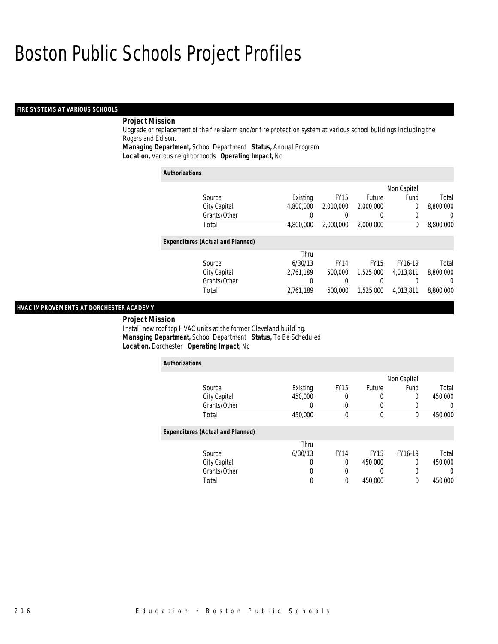### *FIRE SYSTEMS AT VARIOUS SCHOOLS*

### *Project Mission*

Upgrade or replacement of the fire alarm and/or fire protection system at various school buildings including the Rogers and Edison.

*Managing Department,* School Department *Status,* Annual Program

*Location,* Various neighborhoods *Operating Impact,* No

| <b>Authorizations</b>                    |           |             |             |             |                  |
|------------------------------------------|-----------|-------------|-------------|-------------|------------------|
|                                          |           |             |             | Non Capital |                  |
| Source                                   | Existing  | <b>FY15</b> | Future      | Fund        | Total            |
| City Capital                             | 4.800.000 | 2.000.000   | 2,000,000   | 0           | 8,800,000        |
| Grants/Other                             |           |             |             | 0           | $\left( \right)$ |
| Total                                    | 4.800.000 | 2,000,000   | 2.000.000   | 0           | 8,800,000        |
| <b>Expenditures (Actual and Planned)</b> |           |             |             |             |                  |
|                                          | Thru      |             |             |             |                  |
| Source                                   | 6/30/13   | <b>FY14</b> | <b>FY15</b> | FY16-19     | Total            |
| City Capital                             | 2,761,189 | 500,000     | 1.525.000   | 4.013.811   | 8,800,000        |
| Grants/Other                             | 0         |             |             |             | 0                |
| Total                                    | 2,761,189 | 500,000     | 1.525.000   | 4.013.811   | 8,800,000        |

### *HVAC IMPROVEMENTS AT DORCHESTER ACADEMY*

#### *Project Mission*

Install new roof top HVAC units at the former Cleveland building. *Managing Department,* School Department *Status,* To Be Scheduled*Location,* Dorchester *Operating Impact,* No

| <b>Authorizations</b>                    |          |             |             |             |                  |
|------------------------------------------|----------|-------------|-------------|-------------|------------------|
|                                          |          |             |             | Non Capital |                  |
| Source                                   | Existing | <b>FY15</b> | Future      | Fund        | Total            |
| City Capital                             | 450,000  | 0           |             | 0           | 450,000          |
| Grants/Other                             | 0        | 0           |             | 0           | $\left( \right)$ |
| Total                                    | 450,000  | 0           | $\theta$    | 0           | 450,000          |
| <b>Expenditures (Actual and Planned)</b> |          |             |             |             |                  |
|                                          | Thru     |             |             |             |                  |
| Source                                   | 6/30/13  | <b>FY14</b> | <b>FY15</b> | FY16-19     | Total            |
| City Capital                             | 0        | 0           | 450.000     | 0           | 450,000          |
| Grants/Other                             | 0        | 0           |             | 0           |                  |
| Total                                    | 0        | 0           | 450,000     | 0           | 450,000          |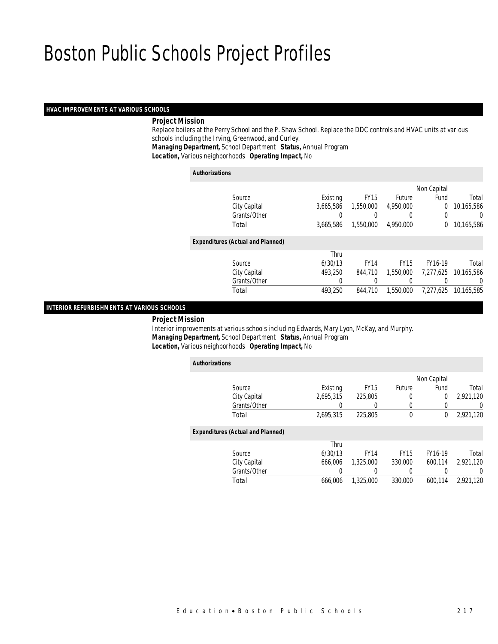### *HVAC IMPROVEMENTS AT VARIOUS SCHOOLS*

### *Project Mission*

 Replace boilers at the Perry School and the P. Shaw School. Replace the DDC controls and HVAC units at various schools including the Irving, Greenwood, and Curley.

*Managing Department,* School Department *Status,* Annual Program

*Location,* Various neighborhoods *Operating Impact,* No

#### *Authorizations*

*Authorizations*

|                                          |           |             |               | Non Capital |            |
|------------------------------------------|-----------|-------------|---------------|-------------|------------|
| Source                                   | Existing  | <b>FY15</b> | <b>Future</b> | Fund        | Total      |
| City Capital                             | 3,665,586 | 1,550,000   | 4,950,000     | $\Omega$    | 10,165,586 |
| Grants/Other                             |           |             |               |             | 0          |
| Total                                    | 3.665.586 | 1,550,000   | 4.950.000     | $\Omega$    | 10,165,586 |
| <b>Expenditures (Actual and Planned)</b> |           |             |               |             |            |
|                                          | Thru      |             |               |             |            |
| Source                                   | 6/30/13   | <b>FY14</b> | <b>FY15</b>   | FY16-19     | Total      |
| City Capital                             | 493,250   | 844,710     | 1.550.000     | 7,277,625   | 10,165,586 |
| Grants/Other                             | 0         |             |               |             | 0          |
| Total                                    | 493.250   | 844,710     | 1.550.000     | 7,277,625   | 10,165,585 |
|                                          |           |             |               |             |            |

### *INTERIOR REFURBISHMENTS AT VARIOUS SCHOOLS*

*Project Mission*

 Interior improvements at various schools including Edwards, Mary Lyon, McKay, and Murphy. *Managing Department,* School Department *Status,* Annual Program*Location,* Various neighborhoods *Operating Impact,* No

|                                          |           |             |             | Non Capital |                  |
|------------------------------------------|-----------|-------------|-------------|-------------|------------------|
| Source                                   | Existing  | <b>FY15</b> | Future      | Fund        | Total            |
| City Capital                             | 2,695,315 | 225,805     | 0           | 0           | 2,921,120        |
| Grants/Other                             |           |             | 0           |             | 0                |
| Total                                    | 2,695,315 | 225,805     | 0           | 0           | 2,921,120        |
| <b>Expenditures (Actual and Planned)</b> |           |             |             |             |                  |
|                                          | Thru      |             |             |             |                  |
| Source                                   | 6/30/13   | <b>FY14</b> | <b>FY15</b> | FY16-19     | Total            |
| City Capital                             | 666,006   | 1,325,000   | 330,000     | 600.114     | 2.921.120        |
| Grants/Other                             |           |             | 0           |             | $\left( \right)$ |
| Total                                    | 666.006   | 1.325.000   | 330,000     | 600.114     | 2.921.120        |
|                                          |           |             |             |             |                  |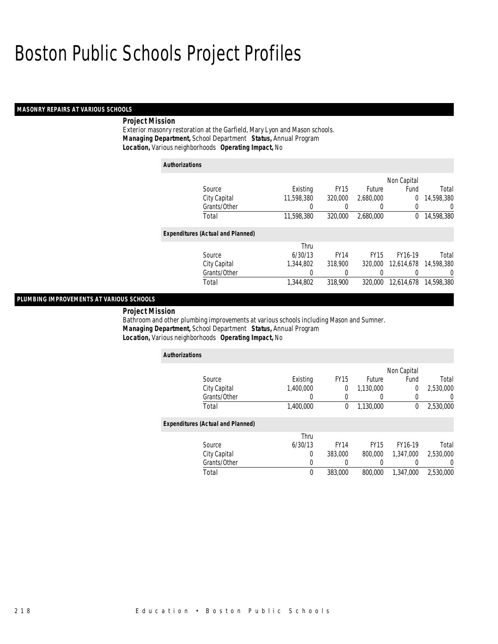### *MASONRY REPAIRS AT VARIOUS SCHOOLS*

### *Project Mission*

Exterior masonry restoration at the Garfield, Mary Lyon and Mason schools. *Managing Department,* School Department *Status,* Annual Program*Location,* Various neighborhoods *Operating Impact,* No

| <b>Authorizations</b> |                                          |            |             |             |             |            |
|-----------------------|------------------------------------------|------------|-------------|-------------|-------------|------------|
|                       |                                          |            |             |             | Non Capital |            |
|                       | Source                                   | Existing   | <b>FY15</b> | Future      | Fund        | Total      |
|                       | City Capital                             | 11,598,380 | 320,000     | 2,680,000   | $\Omega$    | 14,598,380 |
|                       | Grants/Other                             | 0          |             | 0           | 0           | U          |
|                       | Total                                    | 11.598.380 | 320,000     | 2.680.000   | 0           | 14,598,380 |
|                       | <b>Expenditures (Actual and Planned)</b> |            |             |             |             |            |
|                       |                                          | Thru       |             |             |             |            |
|                       | Source                                   | 6/30/13    | <b>FY14</b> | <b>FY15</b> | FY16-19     | Total      |
|                       | City Capital                             | 1,344,802  | 318,900     | 320,000     | 12,614,678  | 14,598,380 |
|                       | Grants/Other                             | 0          | 0           |             |             | 0          |
|                       | Total                                    | 1,344,802  | 318,900     | 320,000     | 12.614.678  | 14,598,380 |

### *PLUMBING IMPROVEMENTS AT VARIOUS SCHOOLS*

*Project Mission* 

Bathroom and other plumbing improvements at various schools including Mason and Sumner. *Managing Department,* School Department *Status,* Annual Program*Location,* Various neighborhoods *Operating Impact,* No

| <b>Authorizations</b>                    |           |             |               |             |           |
|------------------------------------------|-----------|-------------|---------------|-------------|-----------|
|                                          |           |             |               | Non Capital |           |
| Source                                   | Existing  | <b>FY15</b> | <b>Future</b> | Fund        | Total     |
| City Capital                             | 1.400.000 | 0           | 1,130,000     | 0           | 2,530,000 |
| Grants/Other                             | 0         | 0           | 0             | 0           |           |
| Total                                    | 1,400,000 | 0           | 1,130,000     | 0           | 2,530,000 |
| <b>Expenditures (Actual and Planned)</b> |           |             |               |             |           |
|                                          | Thru      |             |               |             |           |
| Source                                   | 6/30/13   | <b>FY14</b> | <b>FY15</b>   | FY16-19     | Total     |
| City Capital                             | 0         | 383,000     | 800,000       | 1.347.000   | 2.530.000 |
| Grants/Other                             | 0         |             | 0             | 0           |           |
| Total                                    | $\theta$  | 383,000     | 800,000       | 1.347.000   | 2.530.000 |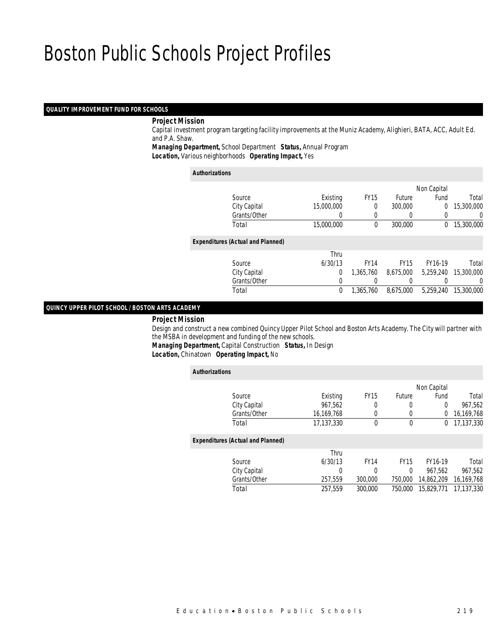### *QUALITY IMPROVEMENT FUND FOR SCHOOLS*

### *Project Mission*

 Capital investment program targeting facility improvements at the Muniz Academy, Alighieri, BATA, ACC, Adult Ed. and P.A. Shaw.

*Managing Department,* School Department *Status,* Annual Program

*Location,* Various neighborhoods *Operating Impact,* Yes

#### *Authorizations*

|                                          |                |             |               | Non Capital |            |
|------------------------------------------|----------------|-------------|---------------|-------------|------------|
| Source                                   | Existing       | <b>FY15</b> | <b>Future</b> | Fund        | Total      |
| City Capital                             | 15,000,000     | 0           | 300,000       | 0           | 15,300,000 |
| Grants/Other                             |                |             |               |             | 0          |
| Total                                    | 15,000,000     | 0           | 300,000       | $\Omega$    | 15,300,000 |
| <b>Expenditures (Actual and Planned)</b> |                |             |               |             |            |
|                                          | Thru           |             |               |             |            |
| Source                                   | 6/30/13        | <b>FY14</b> | <b>FY15</b>   | FY16-19     | Total      |
| City Capital                             | $\overline{0}$ | 1.365.760   | 8.675.000     | 5.259.240   | 15,300,000 |
| Grants/Other                             | 0              |             |               |             | 0          |
| Total                                    | 0              | 1,365,760   | 8.675.000     | 5.259.240   | 15,300,000 |
|                                          |                |             |               |             |            |

### *QUINCY UPPER PILOT SCHOOL / BOSTON ARTS ACADEMY*

#### *Project Mission*

 Design and construct a new combined Quincy Upper Pilot School and Boston Arts Academy. The City will partner with the MSBA in development and funding of the new schools.

*Managing Department,* Capital Construction *Status,* In Design*.*<br>*rating Impact,* No.

| <i>Location,</i> Chinatown Uperating Impact, No |  |  |
|-------------------------------------------------|--|--|
|                                                 |  |  |

| <b>Authorizations</b> |                                          |            |             |             |                |            |
|-----------------------|------------------------------------------|------------|-------------|-------------|----------------|------------|
|                       |                                          |            |             |             | Non Capital    |            |
|                       | Source                                   | Existing   | <b>FY15</b> | Future      | Fund           | Total      |
|                       | City Capital                             | 967.562    | 0           | 0           | $\overline{0}$ | 967,562    |
|                       | Grants/Other                             | 16,169,768 | 0           | 0           | 0              | 16,169,768 |
|                       | Total                                    | 17.137.330 | 0           | $\mathbf 0$ | 0              | 17,137,330 |
|                       | <b>Expenditures (Actual and Planned)</b> |            |             |             |                |            |
|                       |                                          | Thru       |             |             |                |            |
|                       | Source                                   | 6/30/13    | <b>FY14</b> | <b>FY15</b> | FY16-19        | Total      |
|                       | City Capital                             | 0          | 0           | $\theta$    | 967.562        | 967,562    |
|                       | Grants/Other                             | 257,559    | 300,000     | 750,000     | 14,862,209     | 16,169,768 |
|                       | Total                                    | 257.559    | 300.000     | 750.000     | 15.829.771     | 17.137.330 |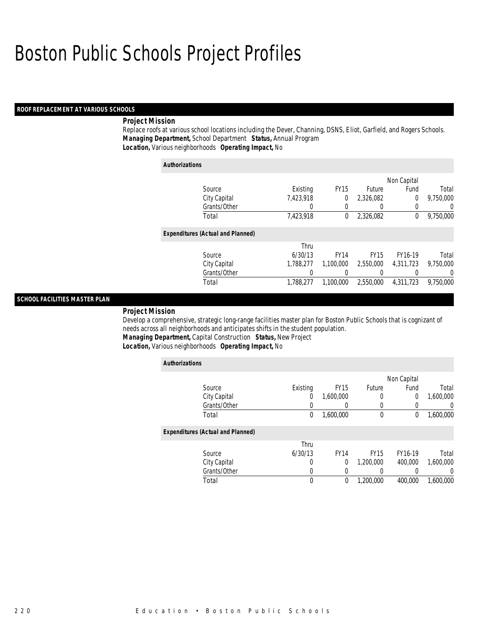### *ROOF REPLACEMENT AT VARIOUS SCHOOLS*

### *Project Mission*

Replace roofs at various school locations including the Dever, Channing, DSNS, Eliot, Garfield, and Rogers Schools. *Managing Department,* School Department *Status,* Annual Program*Location,* Various neighborhoods *Operating Impact,* No

| <b>Authorizations</b> |                                          |           |                  |                  |             |           |
|-----------------------|------------------------------------------|-----------|------------------|------------------|-------------|-----------|
|                       |                                          |           |                  |                  | Non Capital |           |
|                       | Source                                   | Existing  | FY <sub>15</sub> | Future           | Fund        | Total     |
|                       | City Capital                             | 7,423,918 | 0                | 2.326.082        | 0           | 9.750.000 |
|                       | Grants/Other                             | 0         | 0                | $\left( \right)$ | 0           | U         |
|                       | Total                                    | 7,423,918 | 0                | 2,326,082        | 0           | 9,750,000 |
|                       | <b>Expenditures (Actual and Planned)</b> |           |                  |                  |             |           |
|                       |                                          | Thru      |                  |                  |             |           |
|                       | Source                                   | 6/30/13   | <b>FY14</b>      | <b>FY15</b>      | FY16-19     | Total     |
|                       | City Capital                             | 1,788,277 | 1,100,000        | 2,550,000        | 4,311,723   | 9,750,000 |
|                       | Grants/Other                             | 0         | 0                | 0                | 0           | 0         |
|                       | Total                                    | 1.788.277 | 1.100.000        | 2,550,000        | 4,311,723   | 9.750.000 |

### *SCHOOL FACILITIES MASTER PLAN*

*Project Mission* 

Develop a comprehensive, strategic long-range facilities master plan for Boston Public Schools that is cognizant of needs across all neighborhoods and anticipates shifts in the student population. *Managing Department,* Capital Construction *Status,* New Project

*Location,* Various neighborhoods *Operating Impact,* No

| <b>Authorizations</b>                    |          |             |             |                |           |
|------------------------------------------|----------|-------------|-------------|----------------|-----------|
|                                          |          |             |             | Non Capital    |           |
| Source                                   | Existing | <b>FY15</b> | Future      | Fund           | Total     |
| City Capital                             | 0        | 1,600,000   | 0           | $\overline{0}$ | 1,600,000 |
| Grants/Other                             | 0        |             | 0           |                | 0         |
| Total                                    | 0        | 1,600,000   | $\theta$    | 0              | 1,600,000 |
| <b>Expenditures (Actual and Planned)</b> |          |             |             |                |           |
|                                          | Thru     |             |             |                |           |
| Source                                   | 6/30/13  | <b>FY14</b> | <b>FY15</b> | FY16-19        | Total     |
| City Capital                             | 0        | 0           | 1.200.000   | 400,000        | 1.600.000 |
| Grants/Other                             | 0        |             |             |                |           |
| Total                                    | 0        | 0           | 1.200.000   | 400,000        | 1.600.000 |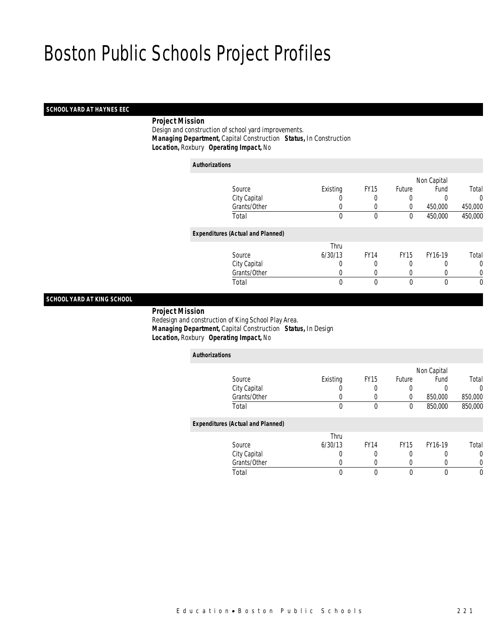### *SCHOOL YARD AT HAYNES EEC*

### *Project Mission*

 Design and construction of school yard improvements. *Managing Department,* Capital Construction *Status,* In Construction*Location,* Roxbury *Operating Impact,* No

| <b>Authorizations</b>                    |          |             |             |             |         |
|------------------------------------------|----------|-------------|-------------|-------------|---------|
|                                          |          |             |             | Non Capital |         |
| Source                                   | Existing | <b>FY15</b> | Future      | Fund        | Total   |
| City Capital                             | 0        |             | 0           |             | 0       |
| Grants/Other                             | 0        | 0           | 0           | 450,000     | 450,000 |
| Total                                    | 0        | 0           | 0           | 450,000     | 450,000 |
| <b>Expenditures (Actual and Planned)</b> |          |             |             |             |         |
|                                          | Thru     |             |             |             |         |
| Source                                   | 6/30/13  | <b>FY14</b> | <b>FY15</b> | FY16-19     | Total   |
| City Capital                             | 0        |             | 0           | 0           | 0       |
| Grants/Other                             | 0        | 0           | 0           | 0           | 0       |
| Total                                    | 0        | 0           | 0           | $\theta$    | 0       |

### *SCHOOL YARD AT KING SCHOOL*

### *Project Mission*

 Redesign and construction of King School Play Area. *Managing Department,* Capital Construction *Status,* In Design*Location,* Roxbury *Operating Impact,* No

| <b>Authorizations</b>                    |          |             |             |             |          |
|------------------------------------------|----------|-------------|-------------|-------------|----------|
|                                          |          |             |             | Non Capital |          |
| Source                                   | Existing | <b>FY15</b> | Future      | Fund        | Total    |
| City Capital                             |          | 0           | 0           | 0           | $\Omega$ |
| Grants/Other                             |          |             | 0           | 850,000     | 850,000  |
| Total                                    | $\theta$ | $\theta$    | 0           | 850,000     | 850,000  |
| <b>Expenditures (Actual and Planned)</b> |          |             |             |             |          |
|                                          | Thru     |             |             |             |          |
| Source                                   | 6/30/13  | <b>FY14</b> | <b>FY15</b> | FY16-19     | Total    |
| City Capital                             | 0        | 0           | 0           | 0           | $\Omega$ |
| Grants/Other                             |          |             | 0           |             | 0        |
| Total                                    | $\theta$ | 0           | 0           | 0           | $\theta$ |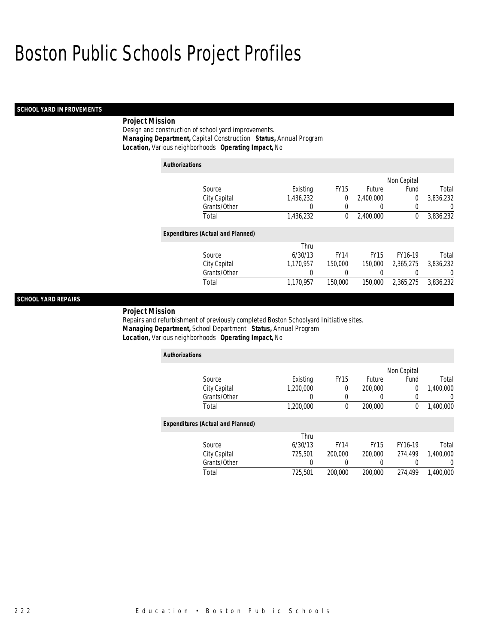### *SCHOOL YARD IMPROVEMENTS*

### *Project Mission*

Design and construction of school yard improvements. *Managing Department,* Capital Construction *Status,* Annual Program*Location,* Various neighborhoods *Operating Impact,* No

| <b>Authorizations</b> |                                          |           |             |             |             |           |
|-----------------------|------------------------------------------|-----------|-------------|-------------|-------------|-----------|
|                       |                                          |           |             |             | Non Capital |           |
|                       | Source                                   | Existing  | <b>FY15</b> | Future      | Fund        | Total     |
|                       | City Capital                             | 1,436,232 | 0           | 2,400,000   | 0           | 3,836,232 |
|                       | Grants/Other                             | 0         | 0           | 0           |             | U         |
|                       | Total                                    | 1,436,232 | 0           | 2,400,000   | 0           | 3,836,232 |
|                       | <b>Expenditures (Actual and Planned)</b> |           |             |             |             |           |
|                       |                                          | Thru      |             |             |             |           |
|                       | Source                                   | 6/30/13   | <b>FY14</b> | <b>FY15</b> | FY16-19     | Total     |
|                       | City Capital                             | 1.170.957 | 150,000     | 150,000     | 2.365.275   | 3.836.232 |
|                       | Grants/Other                             | 0         | 0           | 0           |             | 0         |
|                       | Total                                    | 1.170.957 | 150,000     | 150,000     | 2.365.275   | 3,836,232 |

### *SCHOOL YARD REPAIRS*

*Project Mission* 

Repairs and refurbishment of previously completed Boston Schoolyard Initiative sites. *Managing Department,* School Department *Status,* Annual Program*Location,* Various neighborhoods *Operating Impact,* No

| <b>Authorizations</b>                    |           |             |             |                |           |
|------------------------------------------|-----------|-------------|-------------|----------------|-----------|
|                                          |           |             |             | Non Capital    |           |
| Source                                   | Existing  | <b>FY15</b> | Future      | Fund           | Total     |
| City Capital                             | 1.200.000 | 0           | 200,000     | $\overline{0}$ | 1,400,000 |
| Grants/Other                             |           | 0           | 0           | 0              |           |
| Total                                    | 1,200,000 | $\theta$    | 200,000     | 0              | 1,400,000 |
| <b>Expenditures (Actual and Planned)</b> |           |             |             |                |           |
|                                          | Thru      |             |             |                |           |
| Source                                   | 6/30/13   | <b>FY14</b> | <b>FY15</b> | FY16-19        | Total     |
| City Capital                             | 725,501   | 200,000     | 200,000     | 274.499        | 1.400.000 |
| Grants/Other                             | 0         | 0           | 0           | 0              |           |
| Total                                    | 725,501   | 200,000     | 200,000     | 274.499        | 1.400.000 |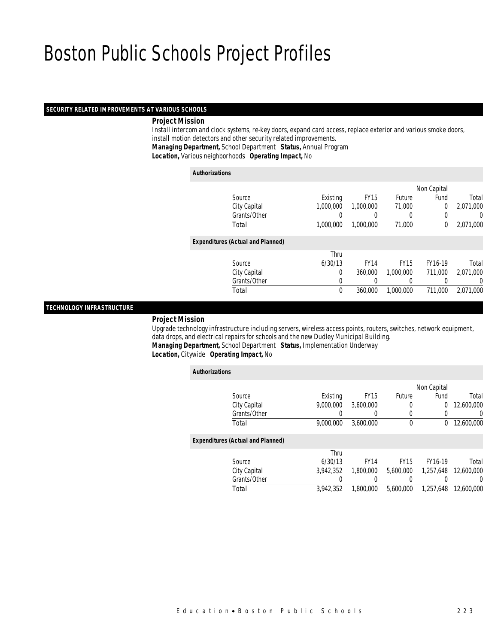#### *SECURITY RELATED IMPROVEMENTS AT VARIOUS SCHOOLS*

### *Project Mission*

 Install intercom and clock systems, re-key doors, expand card access, replace exterior and various smoke doors, install motion detectors and other security related improvements. *Managing Department,* School Department *Status,* Annual Program

*Location,* Various neighborhoods *Operating Impact,* No

#### *Authorizations*

|                                          |           |             |             | Non Capital |           |
|------------------------------------------|-----------|-------------|-------------|-------------|-----------|
| Source                                   | Existing  | <b>FY15</b> | Future      | Fund        | Total     |
| City Capital                             | 1,000,000 | 1,000,000   | 71,000      | $\Omega$    | 2,071,000 |
| Grants/Other                             |           |             |             |             | 0         |
| Total                                    | 1.000.000 | 1,000,000   | 71,000      | 0           | 2,071,000 |
| <b>Expenditures (Actual and Planned)</b> |           |             |             |             |           |
|                                          | Thru      |             |             |             |           |
| Source                                   | 6/30/13   | <b>FY14</b> | <b>FY15</b> | FY16-19     | Total     |
| City Capital                             | 0         | 360,000     | 1.000.000   | 711.000     | 2,071,000 |
| Grants/Other                             | 0         |             |             |             | 0         |
| Total                                    | 0         | 360,000     | 1,000,000   | 711.000     | 2,071,000 |
|                                          |           |             |             |             |           |

### *TECHNOLOGY INFRASTRUCTURE*

#### *Project Mission*

 Upgrade technology infrastructure including servers, wireless access points, routers, switches, network equipment, data drops, and electrical repairs for schools and the new Dudley Municipal Building. *Managing Department,* School Department *Status,* Implementation Underway*Location,* Citywide *Operating Impact,* No

| <b>Authorizations</b>                    |              |           |                  |             |             |            |
|------------------------------------------|--------------|-----------|------------------|-------------|-------------|------------|
|                                          |              |           |                  |             | Non Capital |            |
| Source                                   |              | Existing  | <b>FY15</b>      | Future      | Fund        | Total      |
|                                          | City Capital | 9.000.000 | 3.600.000        | 0           | $\Omega$    | 12,600,000 |
|                                          | Grants/Other |           | $\left( \right)$ | $\left($    |             | 0          |
| Total                                    |              | 9,000,000 | 3,600,000        | $\mathbf 0$ | 0           | 12,600,000 |
| <b>Expenditures (Actual and Planned)</b> |              |           |                  |             |             |            |
|                                          |              | Thru      |                  |             |             |            |
| Source                                   |              | 6/30/13   | <b>FY14</b>      | <b>FY15</b> | FY16-19     | Total      |
|                                          | City Capital | 3,942,352 | 1,800,000        | 5,600,000   | 1,257,648   | 12,600,000 |
|                                          | Grants/Other | 0         |                  |             |             | 0          |
| Total                                    |              | 3.942.352 | 1.800.000        | 5.600.000   | 1.257.648   | 12,600,000 |